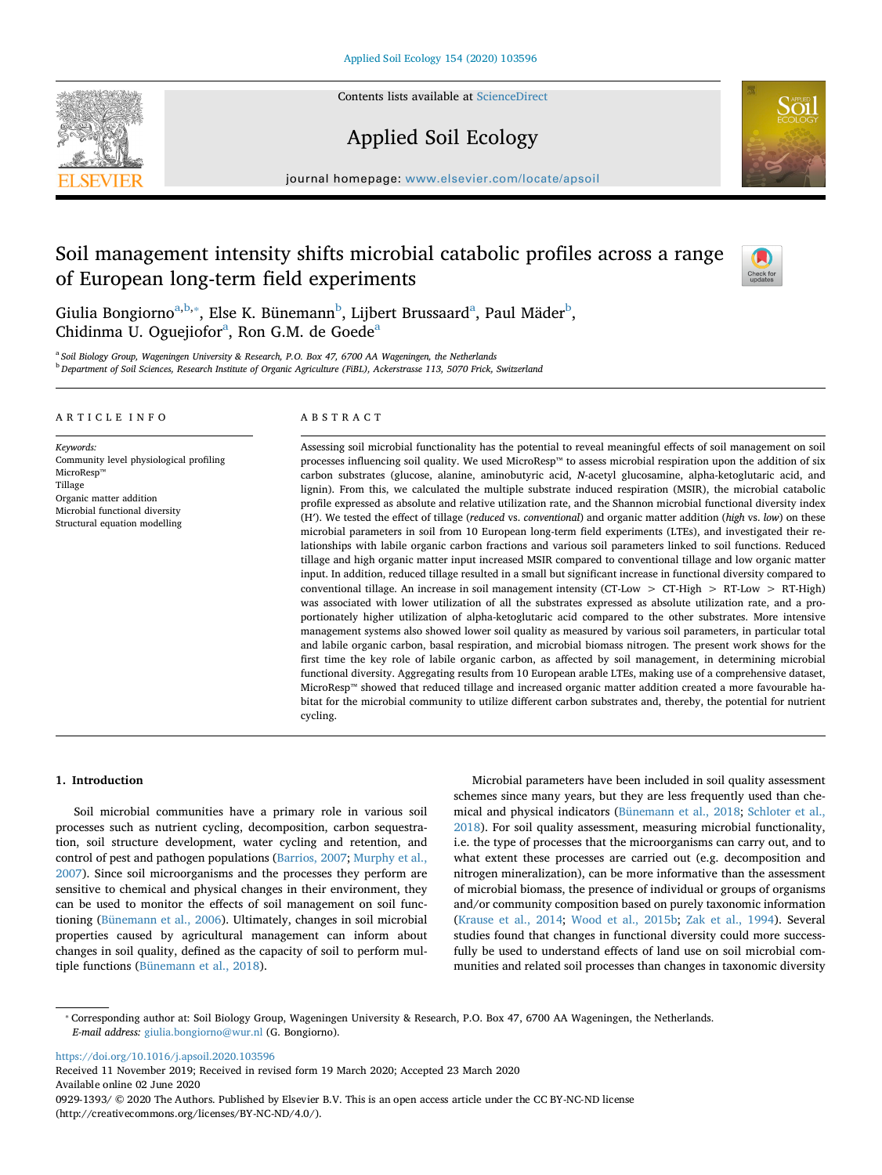Contents lists available at [ScienceDirect](http://www.sciencedirect.com/science/journal/09291393)



Applied Soil Ecology



journal homepage: [www.elsevier.com/locate/apsoil](https://www.elsevier.com/locate/apsoil)

# Soil management intensity shifts microbial catabolic profiles across a range of European long-term field experiments



Giuli[a](#page-0-0) Bongiorno $^{\mathrm{a,b,*}},$  $^{\mathrm{a,b,*}},$  $^{\mathrm{a,b,*}},$  Else K. Bünemann $^{\mathrm{b}}$  $^{\mathrm{b}}$  $^{\mathrm{b}}$ , Lijbert Brussaard $^{\mathrm{a}},$  Paul Mäder $^{\mathrm{b}},$ Chidinm[a](#page-0-0) U. Oguejiofor<sup>a</sup>, Ron G.M. de Goede<sup>a</sup>

<span id="page-0-1"></span><span id="page-0-0"></span><sup>a</sup> *Soil Biology Group, Wageningen University & Research, P.O. Box 47, 6700 AA Wageningen, the Netherlands* <sup>b</sup> *Department of Soil Sciences, Research Institute of Organic Agriculture (FiBL), Ackerstrasse 113, 5070 Frick, Switzerland*

#### ARTICLE INFO

*Keywords:* Community level physiological profiling MicroResp™ Tillage Organic matter addition Microbial functional diversity Structural equation modelling

## ABSTRACT

Assessing soil microbial functionality has the potential to reveal meaningful effects of soil management on soil processes influencing soil quality. We used MicroResp™ to assess microbial respiration upon the addition of six carbon substrates (glucose, alanine, aminobutyric acid, *N*-acetyl glucosamine, alpha-ketoglutaric acid, and lignin). From this, we calculated the multiple substrate induced respiration (MSIR), the microbial catabolic profile expressed as absolute and relative utilization rate, and the Shannon microbial functional diversity index (H′). We tested the effect of tillage (*reduced* vs. *conventional*) and organic matter addition (*high* vs. *low*) on these microbial parameters in soil from 10 European long-term field experiments (LTEs), and investigated their relationships with labile organic carbon fractions and various soil parameters linked to soil functions. Reduced tillage and high organic matter input increased MSIR compared to conventional tillage and low organic matter input. In addition, reduced tillage resulted in a small but significant increase in functional diversity compared to conventional tillage. An increase in soil management intensity (CT-Low > CT-High > RT-Low > RT-High) was associated with lower utilization of all the substrates expressed as absolute utilization rate, and a proportionately higher utilization of alpha-ketoglutaric acid compared to the other substrates. More intensive management systems also showed lower soil quality as measured by various soil parameters, in particular total and labile organic carbon, basal respiration, and microbial biomass nitrogen. The present work shows for the first time the key role of labile organic carbon, as affected by soil management, in determining microbial functional diversity. Aggregating results from 10 European arable LTEs, making use of a comprehensive dataset, MicroResp™ showed that reduced tillage and increased organic matter addition created a more favourable habitat for the microbial community to utilize different carbon substrates and, thereby, the potential for nutrient cycling.

## **1. Introduction**

Soil microbial communities have a primary role in various soil processes such as nutrient cycling, decomposition, carbon sequestration, soil structure development, water cycling and retention, and control of pest and pathogen populations [\(Barrios, 2007;](#page-10-0) [Murphy et al.,](#page-11-0) [2007\)](#page-11-0). Since soil microorganisms and the processes they perform are sensitive to chemical and physical changes in their environment, they can be used to monitor the effects of soil management on soil functioning [\(Bünemann et al., 2006\)](#page-10-1). Ultimately, changes in soil microbial properties caused by agricultural management can inform about changes in soil quality, defined as the capacity of soil to perform multiple functions [\(Bünemann et al., 2018](#page-10-2)).

Microbial parameters have been included in soil quality assessment schemes since many years, but they are less frequently used than chemical and physical indicators ([Bünemann et al., 2018](#page-10-2); [Schloter et al.,](#page-12-0) [2018\)](#page-12-0). For soil quality assessment, measuring microbial functionality, i.e. the type of processes that the microorganisms can carry out, and to what extent these processes are carried out (e.g. decomposition and nitrogen mineralization), can be more informative than the assessment of microbial biomass, the presence of individual or groups of organisms and/or community composition based on purely taxonomic information ([Krause et al., 2014](#page-11-1); [Wood et al., 2015b;](#page-12-1) [Zak et al., 1994](#page-12-2)). Several studies found that changes in functional diversity could more successfully be used to understand effects of land use on soil microbial communities and related soil processes than changes in taxonomic diversity

<https://doi.org/10.1016/j.apsoil.2020.103596>

Received 11 November 2019; Received in revised form 19 March 2020; Accepted 23 March 2020 Available online 02 June 2020 0929-1393/ © 2020 The Authors. Published by Elsevier B.V. This is an open access article under the CC BY-NC-ND license (http://creativecommons.org/licenses/BY-NC-ND/4.0/).

<span id="page-0-2"></span><sup>⁎</sup> Corresponding author at: Soil Biology Group, Wageningen University & Research, P.O. Box 47, 6700 AA Wageningen, the Netherlands. *E-mail address:* [giulia.bongiorno@wur.nl](mailto:giulia.bongiorno@wur.nl) (G. Bongiorno).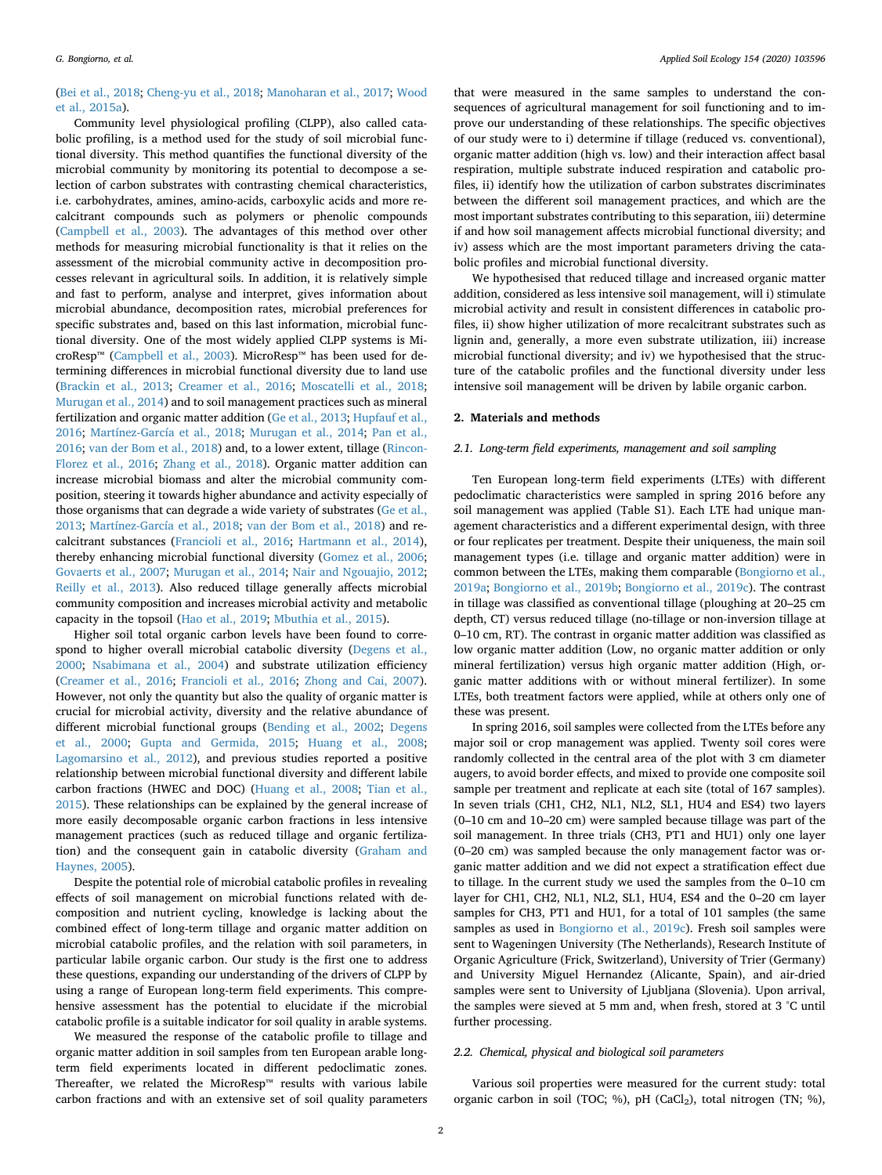# ([Bei et al., 2018;](#page-10-3) [Cheng-yu et al., 2018;](#page-11-2) [Manoharan et al., 2017](#page-11-3); [Wood](#page-12-3) [et al., 2015a](#page-12-3)).

Community level physiological profiling (CLPP), also called catabolic profiling, is a method used for the study of soil microbial functional diversity. This method quantifies the functional diversity of the microbial community by monitoring its potential to decompose a selection of carbon substrates with contrasting chemical characteristics, i.e. carbohydrates, amines, amino-acids, carboxylic acids and more recalcitrant compounds such as polymers or phenolic compounds ([Campbell et al., 2003\)](#page-10-4). The advantages of this method over other methods for measuring microbial functionality is that it relies on the assessment of the microbial community active in decomposition processes relevant in agricultural soils. In addition, it is relatively simple and fast to perform, analyse and interpret, gives information about microbial abundance, decomposition rates, microbial preferences for specific substrates and, based on this last information, microbial functional diversity. One of the most widely applied CLPP systems is MicroResp™ [\(Campbell et al., 2003\)](#page-10-4). MicroResp™ has been used for determining differences in microbial functional diversity due to land use ([Brackin et al., 2013](#page-10-5); [Creamer et al., 2016](#page-11-4); [Moscatelli et al., 2018](#page-11-5); [Murugan et al., 2014\)](#page-11-6) and to soil management practices such as mineral fertilization and organic matter addition ([Ge et al., 2013](#page-11-7); [Hupfauf et al.,](#page-11-8) [2016;](#page-11-8) [Martínez-García et al., 2018](#page-11-9); [Murugan et al., 2014;](#page-11-6) [Pan et al.,](#page-11-10) [2016;](#page-11-10) [van der Bom et al., 2018](#page-12-4)) and, to a lower extent, tillage [\(Rincon-](#page-12-5)[Florez et al., 2016;](#page-12-5) [Zhang et al., 2018](#page-12-6)). Organic matter addition can increase microbial biomass and alter the microbial community composition, steering it towards higher abundance and activity especially of those organisms that can degrade a wide variety of substrates ([Ge et al.,](#page-11-7) [2013;](#page-11-7) [Martínez-García et al., 2018;](#page-11-9) [van der Bom et al., 2018](#page-12-4)) and recalcitrant substances [\(Francioli et al., 2016;](#page-11-11) [Hartmann et al., 2014](#page-11-12)), thereby enhancing microbial functional diversity [\(Gomez et al., 2006](#page-11-13); [Govaerts et al., 2007](#page-11-14); [Murugan et al., 2014;](#page-11-6) [Nair and Ngouajio, 2012](#page-11-15); [Reilly et al., 2013](#page-12-7)). Also reduced tillage generally affects microbial community composition and increases microbial activity and metabolic capacity in the topsoil ([Hao et al., 2019](#page-11-16); [Mbuthia et al., 2015](#page-11-17)).

Higher soil total organic carbon levels have been found to correspond to higher overall microbial catabolic diversity [\(Degens et al.,](#page-11-18) [2000;](#page-11-18) [Nsabimana et al., 2004\)](#page-11-19) and substrate utilization efficiency ([Creamer et al., 2016;](#page-11-4) [Francioli et al., 2016;](#page-11-11) [Zhong and Cai, 2007](#page-12-8)). However, not only the quantity but also the quality of organic matter is crucial for microbial activity, diversity and the relative abundance of different microbial functional groups [\(Bending et al., 2002](#page-10-6); [Degens](#page-11-18) [et al., 2000](#page-11-18); [Gupta and Germida, 2015](#page-11-20); [Huang et al., 2008](#page-11-21); [Lagomarsino et al., 2012](#page-11-22)), and previous studies reported a positive relationship between microbial functional diversity and different labile carbon fractions (HWEC and DOC) [\(Huang et al., 2008](#page-11-21); [Tian et al.,](#page-12-9) [2015\)](#page-12-9). These relationships can be explained by the general increase of more easily decomposable organic carbon fractions in less intensive management practices (such as reduced tillage and organic fertilization) and the consequent gain in catabolic diversity ([Graham and](#page-11-23) [Haynes, 2005](#page-11-23)).

Despite the potential role of microbial catabolic profiles in revealing effects of soil management on microbial functions related with decomposition and nutrient cycling, knowledge is lacking about the combined effect of long-term tillage and organic matter addition on microbial catabolic profiles, and the relation with soil parameters, in particular labile organic carbon. Our study is the first one to address these questions, expanding our understanding of the drivers of CLPP by using a range of European long-term field experiments. This comprehensive assessment has the potential to elucidate if the microbial catabolic profile is a suitable indicator for soil quality in arable systems.

We measured the response of the catabolic profile to tillage and organic matter addition in soil samples from ten European arable longterm field experiments located in different pedoclimatic zones. Thereafter, we related the MicroResp™ results with various labile carbon fractions and with an extensive set of soil quality parameters

that were measured in the same samples to understand the consequences of agricultural management for soil functioning and to improve our understanding of these relationships. The specific objectives of our study were to i) determine if tillage (reduced vs. conventional), organic matter addition (high vs. low) and their interaction affect basal respiration, multiple substrate induced respiration and catabolic profiles, ii) identify how the utilization of carbon substrates discriminates between the different soil management practices, and which are the most important substrates contributing to this separation, iii) determine if and how soil management affects microbial functional diversity; and iv) assess which are the most important parameters driving the catabolic profiles and microbial functional diversity.

We hypothesised that reduced tillage and increased organic matter addition, considered as less intensive soil management, will i) stimulate microbial activity and result in consistent differences in catabolic profiles, ii) show higher utilization of more recalcitrant substrates such as lignin and, generally, a more even substrate utilization, iii) increase microbial functional diversity; and iv) we hypothesised that the structure of the catabolic profiles and the functional diversity under less intensive soil management will be driven by labile organic carbon.

## **2. Materials and methods**

## *2.1. Long-term field experiments, management and soil sampling*

Ten European long-term field experiments (LTEs) with different pedoclimatic characteristics were sampled in spring 2016 before any soil management was applied (Table S1). Each LTE had unique management characteristics and a different experimental design, with three or four replicates per treatment. Despite their uniqueness, the main soil management types (i.e. tillage and organic matter addition) were in common between the LTEs, making them comparable ([Bongiorno et al.,](#page-10-7) [2019a;](#page-10-7) [Bongiorno et al., 2019b;](#page-10-8) [Bongiorno et al., 2019c\)](#page-10-9). The contrast in tillage was classified as conventional tillage (ploughing at 20–25 cm depth, CT) versus reduced tillage (no-tillage or non-inversion tillage at 0–10 cm, RT). The contrast in organic matter addition was classified as low organic matter addition (Low, no organic matter addition or only mineral fertilization) versus high organic matter addition (High, organic matter additions with or without mineral fertilizer). In some LTEs, both treatment factors were applied, while at others only one of these was present.

In spring 2016, soil samples were collected from the LTEs before any major soil or crop management was applied. Twenty soil cores were randomly collected in the central area of the plot with 3 cm diameter augers, to avoid border effects, and mixed to provide one composite soil sample per treatment and replicate at each site (total of 167 samples). In seven trials (CH1, CH2, NL1, NL2, SL1, HU4 and ES4) two layers (0–10 cm and 10–20 cm) were sampled because tillage was part of the soil management. In three trials (CH3, PT1 and HU1) only one layer (0–20 cm) was sampled because the only management factor was organic matter addition and we did not expect a stratification effect due to tillage. In the current study we used the samples from the 0–10 cm layer for CH1, CH2, NL1, NL2, SL1, HU4, ES4 and the 0–20 cm layer samples for CH3, PT1 and HU1, for a total of 101 samples (the same samples as used in [Bongiorno et al., 2019c](#page-10-9)). Fresh soil samples were sent to Wageningen University (The Netherlands), Research Institute of Organic Agriculture (Frick, Switzerland), University of Trier (Germany) and University Miguel Hernandez (Alicante, Spain), and air-dried samples were sent to University of Ljubljana (Slovenia). Upon arrival, the samples were sieved at 5 mm and, when fresh, stored at 3 °C until further processing.

#### *2.2. Chemical, physical and biological soil parameters*

Various soil properties were measured for the current study: total organic carbon in soil (TOC; %), pH (CaCl<sub>2</sub>), total nitrogen (TN; %),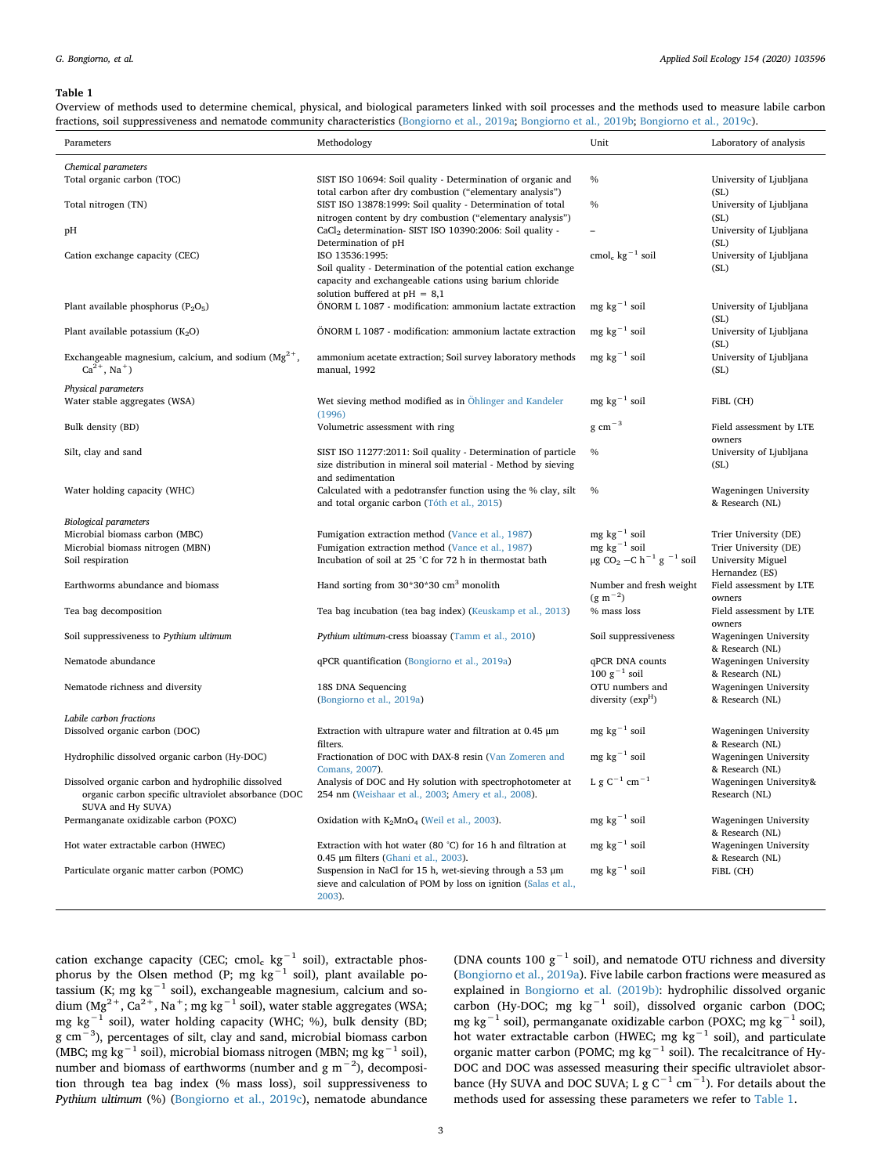<span id="page-2-0"></span>Overview of methods used to determine chemical, physical, and biological parameters linked with soil processes and the methods used to measure labile carbon fractions, soil suppressiveness and nematode community characteristics ([Bongiorno et al., 2019a;](#page-10-7) [Bongiorno et al., 2019b;](#page-10-8) [Bongiorno et al., 2019c\)](#page-10-9).

| Parameters                                                                                 | Methodology                                                                                                              | Unit                                                       | Laboratory of analysis                   |
|--------------------------------------------------------------------------------------------|--------------------------------------------------------------------------------------------------------------------------|------------------------------------------------------------|------------------------------------------|
| Chemical parameters                                                                        |                                                                                                                          |                                                            |                                          |
| Total organic carbon (TOC)                                                                 | SIST ISO 10694: Soil quality - Determination of organic and                                                              | $\%$                                                       | University of Ljubljana                  |
|                                                                                            | total carbon after dry combustion ("elementary analysis")                                                                |                                                            | (SL)                                     |
| Total nitrogen (TN)                                                                        | SIST ISO 13878:1999: Soil quality - Determination of total<br>nitrogen content by dry combustion ("elementary analysis") | $\frac{0}{0}$                                              | University of Ljubljana<br>(SL)          |
| pH                                                                                         | CaCl <sub>2</sub> determination- SIST ISO 10390:2006: Soil quality -                                                     |                                                            | University of Ljubljana                  |
|                                                                                            | Determination of pH                                                                                                      | cmol <sub>c</sub> kg <sup><math>-1</math></sup> soil       | (SL)                                     |
| Cation exchange capacity (CEC)                                                             | ISO 13536:1995:<br>Soil quality - Determination of the potential cation exchange                                         |                                                            | University of Ljubljana<br>(SL)          |
|                                                                                            | capacity and exchangeable cations using barium chloride                                                                  |                                                            |                                          |
|                                                                                            | solution buffered at $pH = 8.1$                                                                                          |                                                            |                                          |
| Plant available phosphorus ( $P_2O_5$ )                                                    | ÖNORM L 1087 - modification: ammonium lactate extraction                                                                 | $mg \text{ kg}^{-1}$ soil                                  | University of Ljubljana<br>(SL)          |
| Plant available potassium $(K_2O)$                                                         | ÖNORM L 1087 - modification: ammonium lactate extraction                                                                 | $mg \text{ kg}^{-1}$ soil                                  | University of Ljubljana<br>(SL)          |
| Exchangeable magnesium, calcium, and sodium $(Mg^{2+})$ ,<br>$Ca^{2+}$ , Na <sup>+</sup> ) | ammonium acetate extraction; Soil survey laboratory methods<br>manual, 1992                                              | $mg \text{ kg}^{-1}$ soil                                  | University of Ljubljana<br>(SL)          |
|                                                                                            |                                                                                                                          |                                                            |                                          |
| Physical parameters                                                                        |                                                                                                                          |                                                            |                                          |
| Water stable aggregates (WSA)                                                              | Wet sieving method modified as in Ohlinger and Kandeler<br>(1996)                                                        | mg $kg^{-1}$ soil                                          | FiBL (CH)                                |
| Bulk density (BD)                                                                          | Volumetric assessment with ring                                                                                          | $g$ cm <sup><math>-3</math></sup>                          | Field assessment by LTE<br>owners        |
| Silt, clay and sand                                                                        | SIST ISO 11277:2011: Soil quality - Determination of particle                                                            | $\%$                                                       | University of Ljubljana                  |
|                                                                                            | size distribution in mineral soil material - Method by sieving                                                           |                                                            | (SL)                                     |
|                                                                                            | and sedimentation                                                                                                        |                                                            |                                          |
| Water holding capacity (WHC)                                                               | Calculated with a pedotransfer function using the % clay, silt<br>and total organic carbon (Tóth et al., 2015)           | $\frac{0}{0}$                                              | Wageningen University<br>& Research (NL) |
| <b>Biological parameters</b>                                                               |                                                                                                                          |                                                            |                                          |
| Microbial biomass carbon (MBC)                                                             | Fumigation extraction method (Vance et al., 1987)                                                                        | $mg \text{ kg}^{-1}$ soil                                  | Trier University (DE)                    |
| Microbial biomass nitrogen (MBN)                                                           | Fumigation extraction method (Vance et al., 1987)                                                                        | $mg \text{ kg}^{-1}$ soil                                  | Trier University (DE)                    |
| Soil respiration                                                                           | Incubation of soil at 25 °C for 72 h in thermostat bath                                                                  | µg CO <sub>2</sub> –C h <sup>-1</sup> g <sup>-1</sup> soil | University Miguel<br>Hernandez (ES)      |
| Earthworms abundance and biomass                                                           | Hand sorting from $30*30*30$ cm <sup>3</sup> monolith                                                                    | Number and fresh weight                                    | Field assessment by LTE                  |
|                                                                                            |                                                                                                                          | $(g m^{-2})$                                               | owners                                   |
| Tea bag decomposition                                                                      | Tea bag incubation (tea bag index) (Keuskamp et al., 2013)                                                               | % mass loss                                                | Field assessment by LTE<br>owners        |
| Soil suppressiveness to Pythium ultimum                                                    | Pythium ultimum-cress bioassay (Tamm et al., 2010)                                                                       | Soil suppressiveness                                       | Wageningen University                    |
| Nematode abundance                                                                         | qPCR quantification (Bongiorno et al., 2019a)                                                                            | qPCR DNA counts                                            | & Research (NL)<br>Wageningen University |
|                                                                                            |                                                                                                                          | $100 g^{-1}$ soil                                          | & Research (NL)                          |
| Nematode richness and diversity                                                            | 18S DNA Sequencing                                                                                                       | OTU numbers and                                            | Wageningen University                    |
|                                                                                            | (Bongiorno et al., 2019a)                                                                                                | diversity (exp <sup>H</sup> )                              | & Research (NL)                          |
| Labile carbon fractions                                                                    |                                                                                                                          |                                                            |                                          |
| Dissolved organic carbon (DOC)                                                             | Extraction with ultrapure water and filtration at $0.45 \mu m$<br>filters.                                               | $mg \text{ kg}^{-1}$ soil                                  | Wageningen University<br>& Research (NL) |
| Hydrophilic dissolved organic carbon (Hy-DOC)                                              | Fractionation of DOC with DAX-8 resin (Van Zomeren and<br>Comans, 2007).                                                 | $mg \text{ kg}^{-1}$ soil                                  | Wageningen University<br>& Research (NL) |
| Dissolved organic carbon and hydrophilic dissolved                                         | Analysis of DOC and Hy solution with spectrophotometer at                                                                | L g C <sup>-1</sup> cm <sup>-1</sup>                       | Wageningen University&                   |
| organic carbon specific ultraviolet absorbance (DOC                                        | 254 nm (Weishaar et al., 2003; Amery et al., 2008).                                                                      |                                                            | Research (NL)                            |
| SUVA and Hy SUVA)<br>Permanganate oxidizable carbon (POXC)                                 | Oxidation with $K_2MnO_4$ (Weil et al., 2003).                                                                           | $mg \text{ kg}^{-1}$ soil                                  | Wageningen University                    |
|                                                                                            |                                                                                                                          |                                                            | & Research (NL)                          |
| Hot water extractable carbon (HWEC)                                                        | Extraction with hot water (80 °C) for 16 h and filtration at<br>0.45 µm filters (Ghani et al., 2003).                    | $mg \text{ kg}^{-1}$ soil                                  | Wageningen University<br>& Research (NL) |
| Particulate organic matter carbon (POMC)                                                   | Suspension in NaCl for 15 h, wet-sieving through a 53 $\mu$ m                                                            | $mg \text{ kg}^{-1}$ soil                                  | FiBL (CH)                                |
|                                                                                            | sieve and calculation of POM by loss on ignition (Salas et al.,<br>2003).                                                |                                                            |                                          |

cation exchange capacity (CEC; cmol<sub>c</sub> kg<sup>-1</sup> soil), extractable phosphorus by the Olsen method (P; mg  $kg^{-1}$  soil), plant available potassium (K; mg kg<sup>-1</sup> soil), exchangeable magnesium, calcium and sodium  $(Mg^{2+}, Ca^{2+}, Na^+; mg kg^{-1} )$  soil), water stable aggregates (WSA; mg kg−1 soil), water holding capacity (WHC; %), bulk density (BD; g cm−3), percentages of silt, clay and sand, microbial biomass carbon (MBC; mg kg−1 soil), microbial biomass nitrogen (MBN; mg kg−1 soil), number and biomass of earthworms (number and  $g m^{-2}$ ), decomposition through tea bag index (% mass loss), soil suppressiveness to *Pythium ultimum* (%) [\(Bongiorno et al., 2019c\)](#page-10-9), nematode abundance

(DNA counts 100  $g^{-1}$  soil), and nematode OTU richness and diversity ([Bongiorno et al., 2019a](#page-10-7)). Five labile carbon fractions were measured as explained in [Bongiorno et al. \(2019b\)](#page-10-8): hydrophilic dissolved organic carbon (Hy-DOC; mg kg<sup>-1</sup> soil), dissolved organic carbon (DOC; mg kg<sup>-1</sup> soil), permanganate oxidizable carbon (POXC; mg kg<sup>-1</sup> soil), hot water extractable carbon (HWEC; mg kg<sup>-1</sup> soil), and particulate organic matter carbon (POMC; mg kg<sup>-1</sup> soil). The recalcitrance of Hy-DOC and DOC was assessed measuring their specific ultraviolet absorbance (Hy SUVA and DOC SUVA; L g  $C^{-1}$  cm<sup>-1</sup>). For details about the methods used for assessing these parameters we refer to [Table 1](#page-2-0).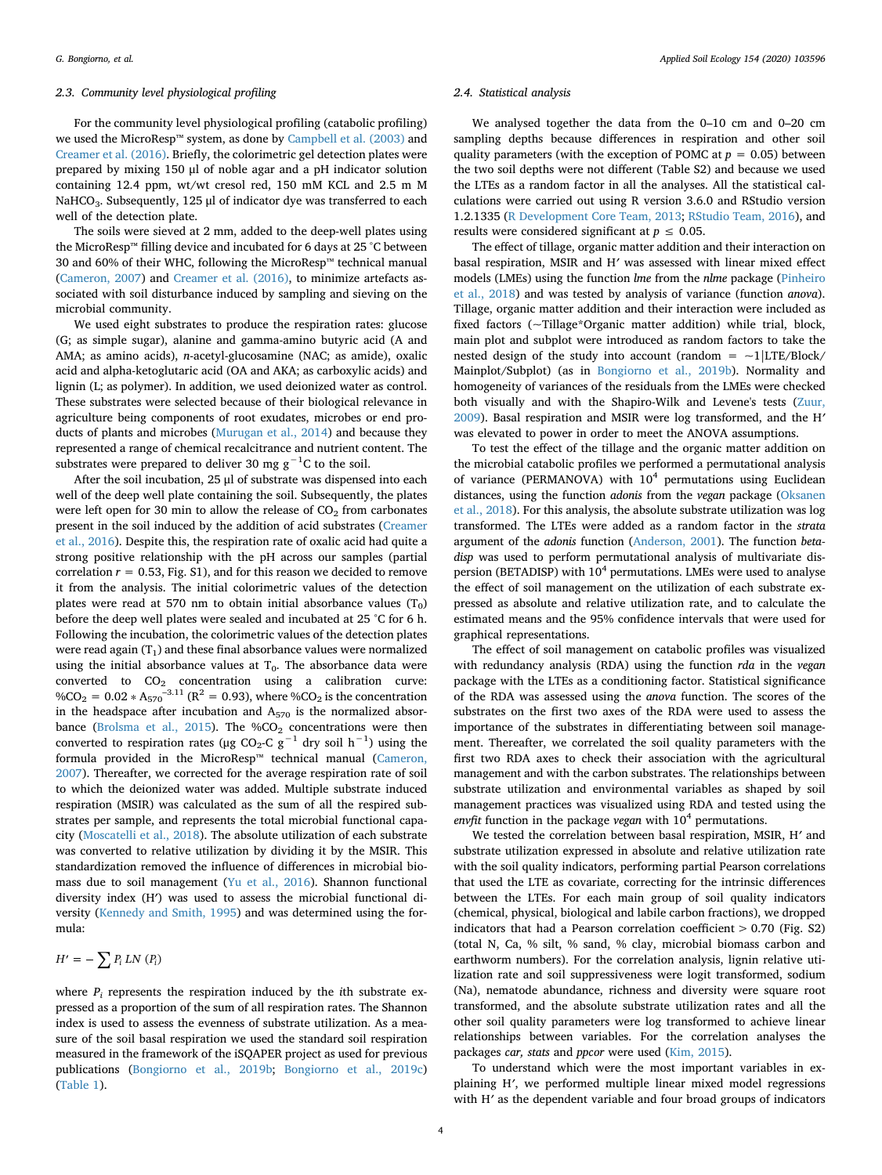#### *2.3. Community level physiological profiling*

For the community level physiological profiling (catabolic profiling) we used the MicroResp™ system, as done by [Campbell et al. \(2003\)](#page-10-4) and [Creamer et al. \(2016\)](#page-11-4). Briefly, the colorimetric gel detection plates were prepared by mixing 150 μl of noble agar and a pH indicator solution containing 12.4 ppm, wt/wt cresol red, 150 mM KCL and 2.5 m M NaHCO<sub>3</sub>. Subsequently, 125  $\mu$ l of indicator dye was transferred to each well of the detection plate.

The soils were sieved at 2 mm, added to the deep-well plates using the MicroResp™ filling device and incubated for 6 days at 25 °C between 30 and 60% of their WHC, following the MicroResp™ technical manual ([Cameron, 2007](#page-10-11)) and [Creamer et al. \(2016\)](#page-11-4), to minimize artefacts associated with soil disturbance induced by sampling and sieving on the microbial community.

We used eight substrates to produce the respiration rates: glucose (G; as simple sugar), alanine and gamma-amino butyric acid (A and AMA; as amino acids), *n*-acetyl-glucosamine (NAC; as amide), oxalic acid and alpha-ketoglutaric acid (OA and AKA; as carboxylic acids) and lignin (L; as polymer). In addition, we used deionized water as control. These substrates were selected because of their biological relevance in agriculture being components of root exudates, microbes or end products of plants and microbes ([Murugan et al., 2014](#page-11-6)) and because they represented a range of chemical recalcitrance and nutrient content. The substrates were prepared to deliver 30 mg  $g^{-1}C$  to the soil.

After the soil incubation, 25 μl of substrate was dispensed into each well of the deep well plate containing the soil. Subsequently, the plates were left open for 30 min to allow the release of  $CO<sub>2</sub>$  from carbonates present in the soil induced by the addition of acid substrates ([Creamer](#page-11-4) [et al., 2016](#page-11-4)). Despite this, the respiration rate of oxalic acid had quite a strong positive relationship with the pH across our samples (partial correlation  $r = 0.53$ , Fig. S1), and for this reason we decided to remove it from the analysis. The initial colorimetric values of the detection plates were read at 570 nm to obtain initial absorbance values  $(T_0)$ before the deep well plates were sealed and incubated at 25 °C for 6 h. Following the incubation, the colorimetric values of the detection plates were read again  $(T_1)$  and these final absorbance values were normalized using the initial absorbance values at  $T_0$ . The absorbance data were converted to  $CO<sub>2</sub>$  concentration using a calibration curve: %CO<sub>2</sub> = 0.02  $*$  A<sub>570</sub><sup>-3.11</sup> (R<sup>2</sup> = 0.93), where %CO<sub>2</sub> is the concentration in the headspace after incubation and  $A_{570}$  is the normalized absor-bance ([Brolsma et al., 2015\)](#page-10-12). The  $\%CO_2$  concentrations were then converted to respiration rates (μg CO<sub>2</sub>-C g<sup>-1</sup> dry soil h<sup>-1</sup>) using the formula provided in the MicroResp™ technical manual ([Cameron,](#page-10-11) [2007\)](#page-10-11). Thereafter, we corrected for the average respiration rate of soil to which the deionized water was added. Multiple substrate induced respiration (MSIR) was calculated as the sum of all the respired substrates per sample, and represents the total microbial functional capacity [\(Moscatelli et al., 2018\)](#page-11-5). The absolute utilization of each substrate was converted to relative utilization by dividing it by the MSIR. This standardization removed the influence of differences in microbial biomass due to soil management ([Yu et al., 2016\)](#page-12-17). Shannon functional diversity index (H′) was used to assess the microbial functional diversity [\(Kennedy and Smith, 1995\)](#page-11-27) and was determined using the formula:

$$
H' = -\sum P_i \, LN \, (P_i)
$$

where  $P_i$  represents the respiration induced by the *i*th substrate expressed as a proportion of the sum of all respiration rates. The Shannon index is used to assess the evenness of substrate utilization. As a measure of the soil basal respiration we used the standard soil respiration measured in the framework of the iSQAPER project as used for previous publications ([Bongiorno et al., 2019b;](#page-10-8) [Bongiorno et al., 2019c\)](#page-10-9) ([Table 1](#page-2-0)).

#### *2.4. Statistical analysis*

We analysed together the data from the 0–10 cm and 0–20 cm sampling depths because differences in respiration and other soil quality parameters (with the exception of POMC at  $p = 0.05$ ) between the two soil depths were not different (Table S2) and because we used the LTEs as a random factor in all the analyses. All the statistical calculations were carried out using R version 3.6.0 and RStudio version 1.2.1335 [\(R Development Core Team, 2013](#page-11-28); [RStudio Team, 2016](#page-12-18)), and results were considered significant at  $p \leq 0.05$ .

The effect of tillage, organic matter addition and their interaction on basal respiration, MSIR and H*′* was assessed with linear mixed effect models (LMEs) using the function *lme* from the *nlme* package ([Pinheiro](#page-11-29) [et al., 2018](#page-11-29)) and was tested by analysis of variance (function *anova*). Tillage, organic matter addition and their interaction were included as fixed factors (~Tillage\*Organic matter addition) while trial, block, main plot and subplot were introduced as random factors to take the nested design of the study into account (random =  $\sim$ 1|LTE/Block/ Mainplot/Subplot) (as in [Bongiorno et al., 2019b](#page-10-8)). Normality and homogeneity of variances of the residuals from the LMEs were checked both visually and with the Shapiro-Wilk and Levene's tests ([Zuur,](#page-12-19) [2009\)](#page-12-19). Basal respiration and MSIR were log transformed, and the H*′* was elevated to power in order to meet the ANOVA assumptions.

To test the effect of the tillage and the organic matter addition on the microbial catabolic profiles we performed a permutational analysis of variance (PERMANOVA) with  $10<sup>4</sup>$  permutations using Euclidean distances, using the function *adonis* from the *vegan* package [\(Oksanen](#page-11-30) [et al., 2018](#page-11-30)). For this analysis, the absolute substrate utilization was log transformed. The LTEs were added as a random factor in the *strata* argument of the *adonis* function ([Anderson, 2001](#page-10-13)). The function *betadisp* was used to perform permutational analysis of multivariate dispersion (BETADISP) with  $10^4$  permutations. LMEs were used to analyse the effect of soil management on the utilization of each substrate expressed as absolute and relative utilization rate, and to calculate the estimated means and the 95% confidence intervals that were used for graphical representations.

The effect of soil management on catabolic profiles was visualized with redundancy analysis (RDA) using the function *rda* in the *vegan* package with the LTEs as a conditioning factor. Statistical significance of the RDA was assessed using the *anova* function. The scores of the substrates on the first two axes of the RDA were used to assess the importance of the substrates in differentiating between soil management. Thereafter, we correlated the soil quality parameters with the first two RDA axes to check their association with the agricultural management and with the carbon substrates. The relationships between substrate utilization and environmental variables as shaped by soil management practices was visualized using RDA and tested using the *envfit* function in the package *vegan* with 10<sup>4</sup> permutations.

We tested the correlation between basal respiration, MSIR, H*′* and substrate utilization expressed in absolute and relative utilization rate with the soil quality indicators, performing partial Pearson correlations that used the LTE as covariate, correcting for the intrinsic differences between the LTEs. For each main group of soil quality indicators (chemical, physical, biological and labile carbon fractions), we dropped indicators that had a Pearson correlation coefficient  $> 0.70$  (Fig. S2) (total N, Ca, % silt, % sand, % clay, microbial biomass carbon and earthworm numbers). For the correlation analysis, lignin relative utilization rate and soil suppressiveness were logit transformed, sodium (Na), nematode abundance, richness and diversity were square root transformed, and the absolute substrate utilization rates and all the other soil quality parameters were log transformed to achieve linear relationships between variables. For the correlation analyses the packages *car, stats* and *ppcor* were used [\(Kim, 2015](#page-11-31)).

To understand which were the most important variables in explaining H*′*, we performed multiple linear mixed model regressions with H*′* as the dependent variable and four broad groups of indicators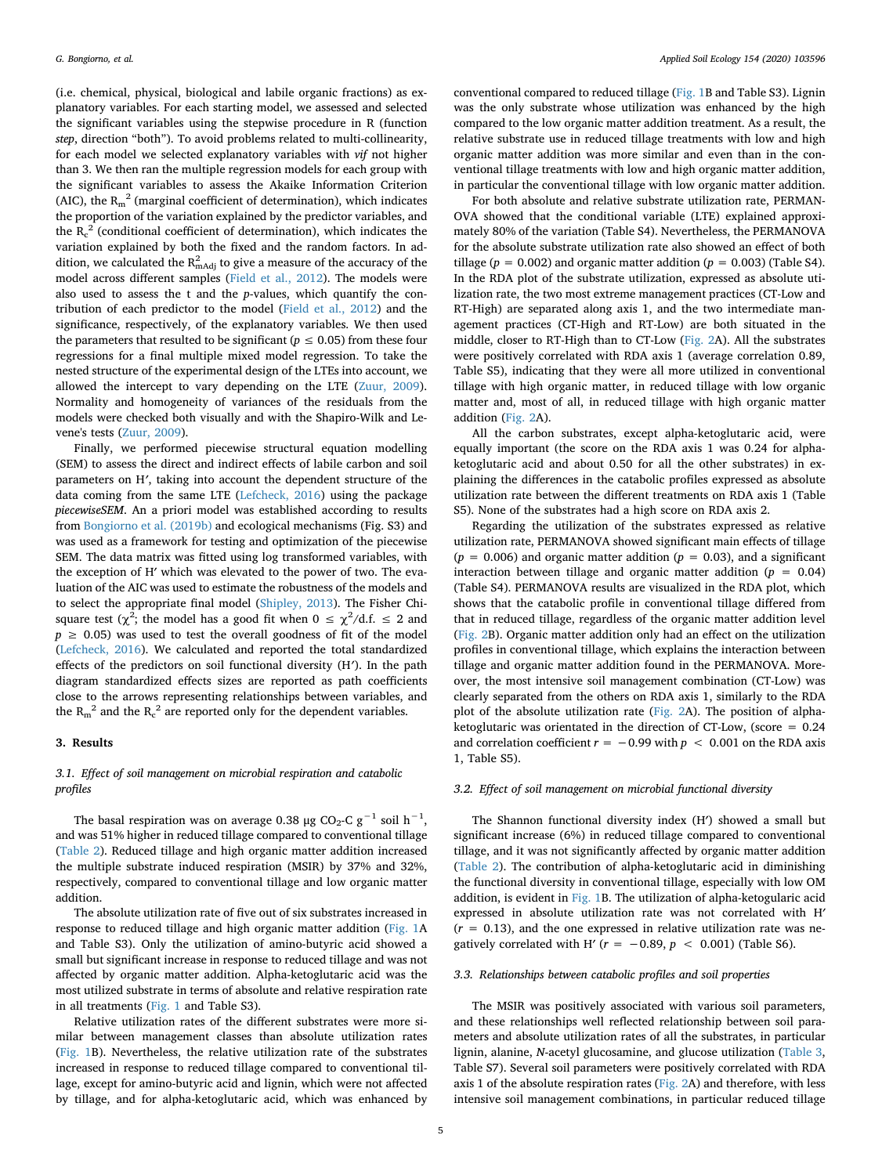(i.e. chemical, physical, biological and labile organic fractions) as explanatory variables. For each starting model, we assessed and selected the significant variables using the stepwise procedure in R (function *step*, direction "both"). To avoid problems related to multi-collinearity, for each model we selected explanatory variables with *vif* not higher than 3. We then ran the multiple regression models for each group with the significant variables to assess the Akaike Information Criterion (AIC), the  $R_m^2$  (marginal coefficient of determination), which indicates the proportion of the variation explained by the predictor variables, and the  $R_c^2$  (conditional coefficient of determination), which indicates the variation explained by both the fixed and the random factors. In addition, we calculated the  $\mathtt{R}_{\text{mAdj}}^2$  to give a measure of the accuracy of the model across different samples [\(Field et al., 2012](#page-11-32)). The models were also used to assess the t and the *p*-values, which quantify the contribution of each predictor to the model [\(Field et al., 2012\)](#page-11-32) and the significance, respectively, of the explanatory variables. We then used the parameters that resulted to be significant ( $p \leq 0.05$ ) from these four regressions for a final multiple mixed model regression. To take the nested structure of the experimental design of the LTEs into account, we allowed the intercept to vary depending on the LTE [\(Zuur, 2009](#page-12-19)). Normality and homogeneity of variances of the residuals from the models were checked both visually and with the Shapiro-Wilk and Levene's tests ([Zuur, 2009](#page-12-19)).

Finally, we performed piecewise structural equation modelling (SEM) to assess the direct and indirect effects of labile carbon and soil parameters on H*′*, taking into account the dependent structure of the data coming from the same LTE [\(Lefcheck, 2016\)](#page-11-33) using the package *piecewiseSEM*. An a priori model was established according to results from [Bongiorno et al. \(2019b\)](#page-10-8) and ecological mechanisms (Fig. S3) and was used as a framework for testing and optimization of the piecewise SEM. The data matrix was fitted using log transformed variables, with the exception of H′ which was elevated to the power of two. The evaluation of the AIC was used to estimate the robustness of the models and to select the appropriate final model ([Shipley, 2013](#page-12-20)). The Fisher Chisquare test ( $\chi^2$ ; the model has a good fit when  $0 \leq \chi^2/d.f. \leq 2$  and  $p \geq 0.05$ ) was used to test the overall goodness of fit of the model ([Lefcheck, 2016](#page-11-33)). We calculated and reported the total standardized effects of the predictors on soil functional diversity (H*′*). In the path diagram standardized effects sizes are reported as path coefficients close to the arrows representing relationships between variables, and the  $R_m^2$  and the  $R_c^2$  are reported only for the dependent variables.

#### **3. Results**

# *3.1. Effect of soil management on microbial respiration and catabolic profiles*

The basal respiration was on average 0.38 μg CO<sub>2</sub>-C g<sup>-1</sup> soil h<sup>-1</sup>, and was 51% higher in reduced tillage compared to conventional tillage ([Table 2](#page-5-0)). Reduced tillage and high organic matter addition increased the multiple substrate induced respiration (MSIR) by 37% and 32%, respectively, compared to conventional tillage and low organic matter addition.

The absolute utilization rate of five out of six substrates increased in response to reduced tillage and high organic matter addition ([Fig. 1](#page-5-1)A and Table S3). Only the utilization of amino-butyric acid showed a small but significant increase in response to reduced tillage and was not affected by organic matter addition. Alpha-ketoglutaric acid was the most utilized substrate in terms of absolute and relative respiration rate in all treatments ([Fig. 1](#page-5-1) and Table S3).

Relative utilization rates of the different substrates were more similar between management classes than absolute utilization rates ([Fig. 1B](#page-5-1)). Nevertheless, the relative utilization rate of the substrates increased in response to reduced tillage compared to conventional tillage, except for amino-butyric acid and lignin, which were not affected by tillage, and for alpha-ketoglutaric acid, which was enhanced by

conventional compared to reduced tillage ([Fig. 1](#page-5-1)B and Table S3). Lignin was the only substrate whose utilization was enhanced by the high compared to the low organic matter addition treatment. As a result, the relative substrate use in reduced tillage treatments with low and high organic matter addition was more similar and even than in the conventional tillage treatments with low and high organic matter addition, in particular the conventional tillage with low organic matter addition.

For both absolute and relative substrate utilization rate, PERMAN-OVA showed that the conditional variable (LTE) explained approximately 80% of the variation (Table S4). Nevertheless, the PERMANOVA for the absolute substrate utilization rate also showed an effect of both tillage ( $p = 0.002$ ) and organic matter addition ( $p = 0.003$ ) (Table S4). In the RDA plot of the substrate utilization, expressed as absolute utilization rate, the two most extreme management practices (CT-Low and RT-High) are separated along axis 1, and the two intermediate management practices (CT-High and RT-Low) are both situated in the middle, closer to RT-High than to CT-Low [\(Fig. 2A](#page-6-0)). All the substrates were positively correlated with RDA axis 1 (average correlation 0.89, Table S5), indicating that they were all more utilized in conventional tillage with high organic matter, in reduced tillage with low organic matter and, most of all, in reduced tillage with high organic matter addition ([Fig. 2A](#page-6-0)).

All the carbon substrates, except alpha-ketoglutaric acid, were equally important (the score on the RDA axis 1 was 0.24 for alphaketoglutaric acid and about 0.50 for all the other substrates) in explaining the differences in the catabolic profiles expressed as absolute utilization rate between the different treatments on RDA axis 1 (Table S5). None of the substrates had a high score on RDA axis 2.

Regarding the utilization of the substrates expressed as relative utilization rate, PERMANOVA showed significant main effects of tillage  $(p = 0.006)$  and organic matter addition  $(p = 0.03)$ , and a significant interaction between tillage and organic matter addition  $(p = 0.04)$ (Table S4). PERMANOVA results are visualized in the RDA plot, which shows that the catabolic profile in conventional tillage differed from that in reduced tillage, regardless of the organic matter addition level ([Fig. 2B](#page-6-0)). Organic matter addition only had an effect on the utilization profiles in conventional tillage, which explains the interaction between tillage and organic matter addition found in the PERMANOVA. Moreover, the most intensive soil management combination (CT-Low) was clearly separated from the others on RDA axis 1, similarly to the RDA plot of the absolute utilization rate ([Fig. 2A](#page-6-0)). The position of alphaketoglutaric was orientated in the direction of CT-Low, (score = 0.24 and correlation coefficient  $r = -0.99$  with  $p < 0.001$  on the RDA axis 1, Table S5).

### *3.2. Effect of soil management on microbial functional diversity*

The Shannon functional diversity index (H′) showed a small but significant increase (6%) in reduced tillage compared to conventional tillage, and it was not significantly affected by organic matter addition ([Table 2\)](#page-5-0). The contribution of alpha-ketoglutaric acid in diminishing the functional diversity in conventional tillage, especially with low OM addition, is evident in [Fig. 1](#page-5-1)B. The utilization of alpha-ketogularic acid expressed in absolute utilization rate was not correlated with H′  $(r = 0.13)$ , and the one expressed in relative utilization rate was negatively correlated with H'  $(r = -0.89, p < 0.001)$  (Table S6).

## *3.3. Relationships between catabolic profiles and soil properties*

The MSIR was positively associated with various soil parameters, and these relationships well reflected relationship between soil parameters and absolute utilization rates of all the substrates, in particular lignin, alanine, *N*-acetyl glucosamine, and glucose utilization ([Table 3](#page-7-0), Table S7). Several soil parameters were positively correlated with RDA axis 1 of the absolute respiration rates ( $Fig. 2A$ ) and therefore, with less intensive soil management combinations, in particular reduced tillage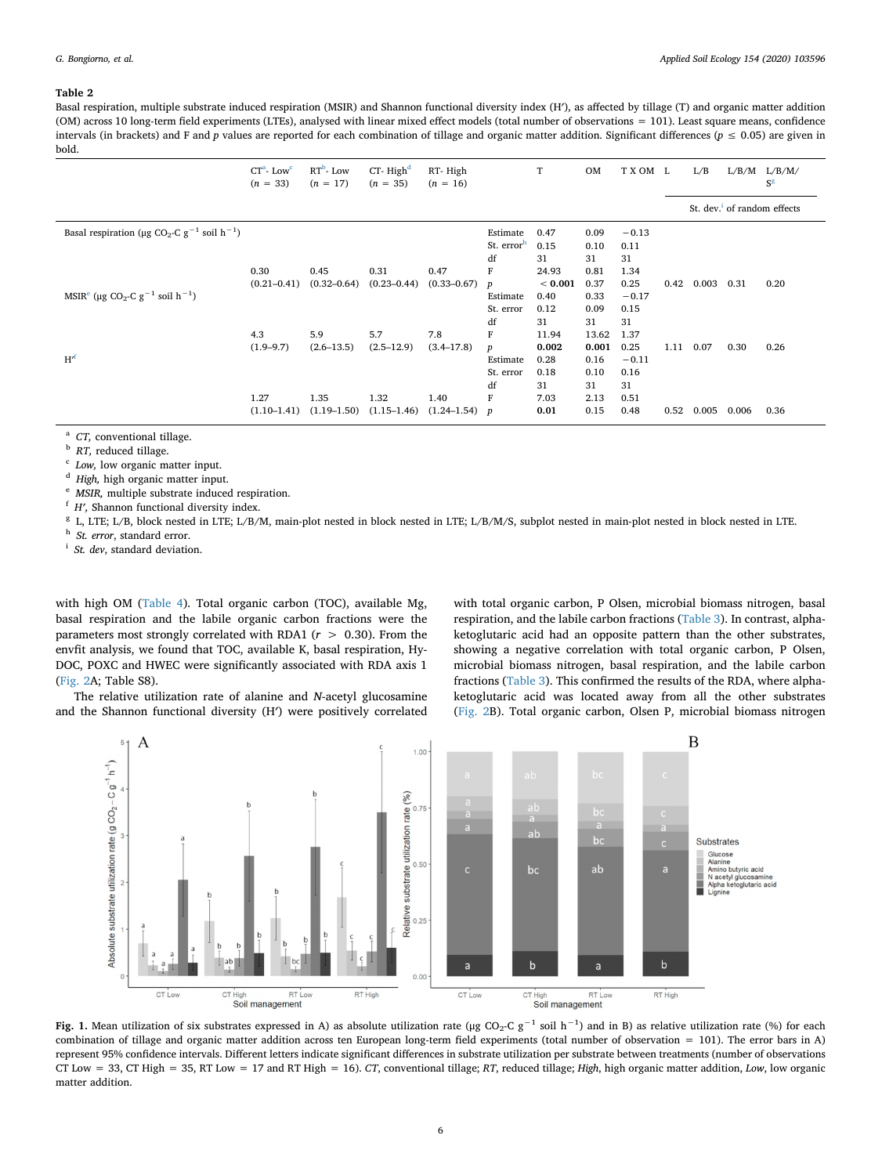<span id="page-5-0"></span>Basal respiration, multiple substrate induced respiration (MSIR) and Shannon functional diversity index (H'), as affected by tillage (T) and organic matter addition (OM) across 10 long-term field experiments (LTEs), analysed with linear mixed effect models (total number of observations = 101). Least square means, confidence intervals (in brackets) and F and *p* values are reported for each combination of tillage and organic matter addition. Significant differences ( $p \le 0.05$ ) are given in bold.

|                                                                                 | $CTa$ - Low <sup>c</sup><br>$(n = 33)$ | $RT^b$ - Low<br>$(n = 17)$ | $CT-Highd$<br>$(n = 35)$ | RT-High<br>$(n = 16)$ |                        | T       | OM    | TXOM L  |      | L/B   | L/B/M | L/B/M/<br>$S^g$                         |
|---------------------------------------------------------------------------------|----------------------------------------|----------------------------|--------------------------|-----------------------|------------------------|---------|-------|---------|------|-------|-------|-----------------------------------------|
|                                                                                 |                                        |                            |                          |                       |                        |         |       |         |      |       |       | St. dev. <sup>1</sup> of random effects |
| Basal respiration (µg CO <sub>2</sub> -C g <sup>-1</sup> soil h <sup>-1</sup> ) |                                        |                            |                          |                       | Estimate               | 0.47    | 0.09  | $-0.13$ |      |       |       |                                         |
|                                                                                 |                                        |                            |                          |                       | St. error <sup>h</sup> | 0.15    | 0.10  | 0.11    |      |       |       |                                         |
|                                                                                 |                                        |                            |                          |                       | df                     | 31      | 31    | 31      |      |       |       |                                         |
|                                                                                 | 0.30                                   | 0.45                       | 0.31                     | 0.47                  | F                      | 24.93   | 0.81  | 1.34    |      |       |       |                                         |
|                                                                                 | $(0.21 - 0.41)$                        | $(0.32 - 0.64)$            | $(0.23 - 0.44)$          | $(0.33 - 0.67)$       | $\boldsymbol{p}$       | < 0.001 | 0.37  | 0.25    | 0.42 | 0.003 | 0.31  | 0.20                                    |
| MSIR <sup>e</sup> (µg CO <sub>2</sub> -C g <sup>-1</sup> soil h <sup>-1</sup> ) |                                        |                            |                          |                       | Estimate               | 0.40    | 0.33  | $-0.17$ |      |       |       |                                         |
|                                                                                 |                                        |                            |                          |                       | St. error              | 0.12    | 0.09  | 0.15    |      |       |       |                                         |
|                                                                                 |                                        |                            |                          |                       | df                     | 31      | 31    | 31      |      |       |       |                                         |
|                                                                                 | 4.3                                    | 5.9                        | 5.7                      | 7.8                   | F                      | 11.94   | 13.62 | 1.37    |      |       |       |                                         |
|                                                                                 | $(1.9 - 9.7)$                          | $(2.6 - 13.5)$             | $(2.5 - 12.9)$           | $(3.4 - 17.8)$        | $\boldsymbol{p}$       | 0.002   | 0.001 | 0.25    | 1.11 | 0.07  | 0.30  | 0.26                                    |
| $H^{\prime}$                                                                    |                                        |                            |                          |                       | Estimate               | 0.28    | 0.16  | $-0.11$ |      |       |       |                                         |
|                                                                                 |                                        |                            |                          |                       | St. error              | 0.18    | 0.10  | 0.16    |      |       |       |                                         |
|                                                                                 |                                        |                            |                          |                       | df                     | 31      | 31    | 31      |      |       |       |                                         |
|                                                                                 | 1.27                                   | 1.35                       | 1.32                     | 1.40                  | F                      | 7.03    | 2.13  | 0.51    |      |       |       |                                         |
|                                                                                 | $(1.10-1.41)$                          | $(1.19 - 1.50)$            | $(1.15 - 1.46)$          | $(1.24 - 1.54)$ p     |                        | 0.01    | 0.15  | 0.48    | 0.52 | 0.005 | 0.006 | 0.36                                    |

<span id="page-5-2"></span><sup>a</sup> *CT,* conventional tillage.

<span id="page-5-4"></span><sup>b</sup> *RT*, reduced tillage.

<span id="page-5-3"></span>Low, low organic matter input.

<span id="page-5-5"></span><sup>d</sup> *High,* high organic matter input.

<span id="page-5-9"></span><sup>e</sup> *MSIR,* multiple substrate induced respiration.

<span id="page-5-10"></span><sup>f</sup> *H′,* Shannon functional diversity index.

<span id="page-5-6"></span><sup>g</sup> L, LTE; L/B, block nested in LTE; L/B/M, main-plot nested in block nested in LTE; L/B/M/S, subplot nested in main-plot nested in block nested in LTE.

<span id="page-5-8"></span><sup>h</sup> *St. error*, standard error.

<span id="page-5-7"></span><sup>i</sup> *St. dev*, standard deviation.

with high OM [\(Table 4\)](#page-8-0). Total organic carbon (TOC), available Mg, basal respiration and the labile organic carbon fractions were the parameters most strongly correlated with RDA1 (*r* > 0.30). From the envfit analysis, we found that TOC, available K, basal respiration, Hy-DOC, POXC and HWEC were significantly associated with RDA axis 1 ([Fig. 2A](#page-6-0); Table S8).

The relative utilization rate of alanine and *N*-acetyl glucosamine and the Shannon functional diversity (H′) were positively correlated with total organic carbon, P Olsen, microbial biomass nitrogen, basal respiration, and the labile carbon fractions ([Table 3\)](#page-7-0). In contrast, alphaketoglutaric acid had an opposite pattern than the other substrates, showing a negative correlation with total organic carbon, P Olsen, microbial biomass nitrogen, basal respiration, and the labile carbon fractions [\(Table 3](#page-7-0)). This confirmed the results of the RDA, where alphaketoglutaric acid was located away from all the other substrates ([Fig. 2B](#page-6-0)). Total organic carbon, Olsen P, microbial biomass nitrogen

<span id="page-5-1"></span>

combination of tillage and organic matter addition across ten European long-term field experiments (total number of observation = 101). The error bars in A) represent 95% confidence intervals. Different letters indicate significant differences in substrate utilization per substrate between treatments (number of observations CT Low = 33, CT High = 35, RT Low = 17 and RT High = 16). *CT*, conventional tillage; *RT*, reduced tillage; *High*, high organic matter addition, *Low*, low organic matter addition.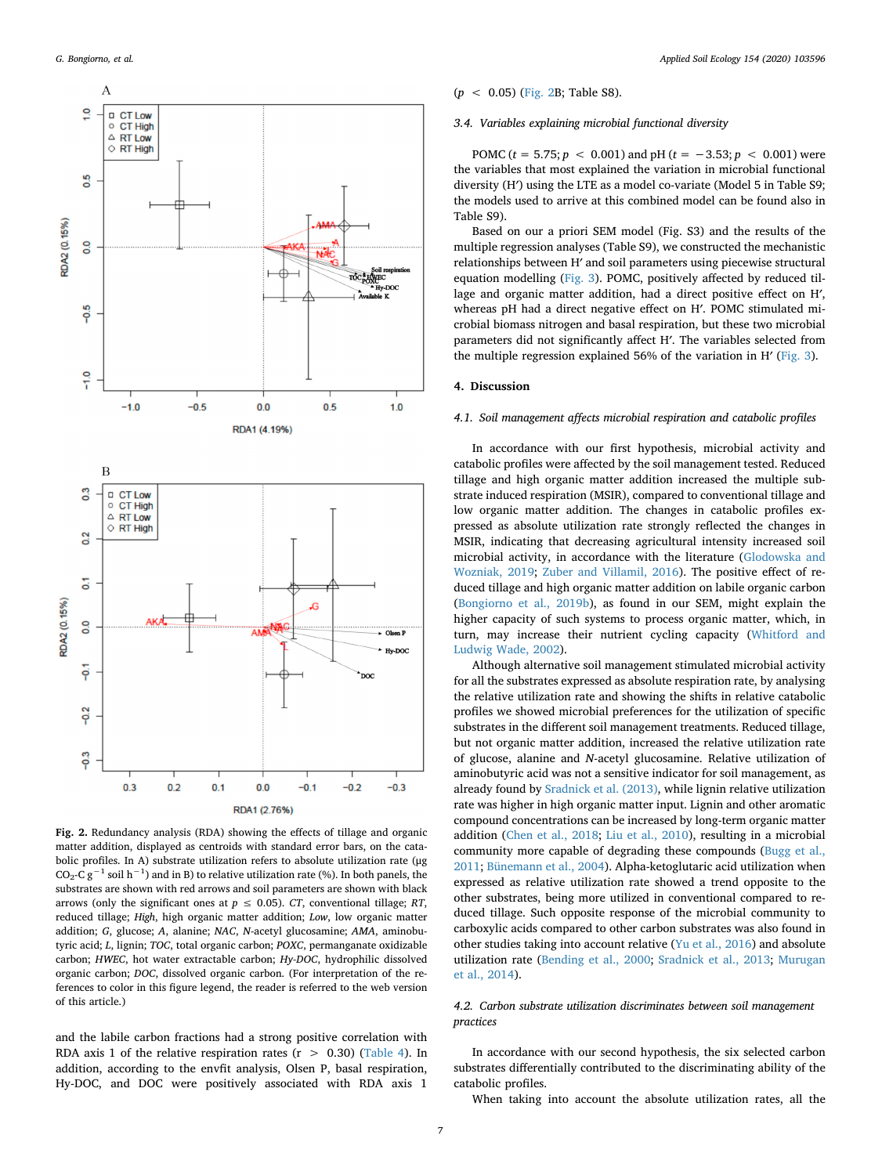<span id="page-6-0"></span>

**Fig. 2.** Redundancy analysis (RDA) showing the effects of tillage and organic matter addition, displayed as centroids with standard error bars, on the catabolic profiles. In A) substrate utilization refers to absolute utilization rate (μg CO<sub>2</sub>-C g<sup>-1</sup> soil h<sup>-1</sup>) and in B) to relative utilization rate (%). In both panels, the substrates are shown with red arrows and soil parameters are shown with black arrows (only the significant ones at  $p \le 0.05$ ). *CT*, conventional tillage; *RT*, reduced tillage; *High*, high organic matter addition; *Low*, low organic matter addition; *G*, glucose; *A*, alanine; *NAC*, *N*-acetyl glucosamine; *AMA*, aminobutyric acid; *L*, lignin; *TOC*, total organic carbon; *POXC*, permanganate oxidizable carbon; *HWEC*, hot water extractable carbon; *Hy-DOC*, hydrophilic dissolved organic carbon; *DOC*, dissolved organic carbon. (For interpretation of the references to color in this figure legend, the reader is referred to the web version of this article.)

and the labile carbon fractions had a strong positive correlation with RDA axis 1 of the relative respiration rates  $(r > 0.30)$  ([Table 4](#page-8-0)). In addition, according to the envfit analysis, Olsen P, basal respiration, Hy-DOC, and DOC were positively associated with RDA axis 1

# (*p* < 0.05) [\(Fig. 2B](#page-6-0); Table S8).

#### *3.4. Variables explaining microbial functional diversity*

POMC (*t* = 5.75; *p* < 0.001) and pH (*t* = −3.53; *p* < 0.001) were the variables that most explained the variation in microbial functional diversity (H′) using the LTE as a model co-variate (Model 5 in Table S9; the models used to arrive at this combined model can be found also in Table S9).

Based on our a priori SEM model (Fig. S3) and the results of the multiple regression analyses (Table S9), we constructed the mechanistic relationships between H′ and soil parameters using piecewise structural equation modelling [\(Fig. 3\)](#page-9-0). POMC, positively affected by reduced tillage and organic matter addition, had a direct positive effect on H′, whereas pH had a direct negative effect on H′. POMC stimulated microbial biomass nitrogen and basal respiration, but these two microbial parameters did not significantly affect H′. The variables selected from the multiple regression explained 56% of the variation in H′ ([Fig. 3\)](#page-9-0).

#### **4. Discussion**

## *4.1. Soil management affects microbial respiration and catabolic profiles*

In accordance with our first hypothesis, microbial activity and catabolic profiles were affected by the soil management tested. Reduced tillage and high organic matter addition increased the multiple substrate induced respiration (MSIR), compared to conventional tillage and low organic matter addition. The changes in catabolic profiles expressed as absolute utilization rate strongly reflected the changes in MSIR, indicating that decreasing agricultural intensity increased soil microbial activity, in accordance with the literature [\(Glodowska and](#page-11-34) [Wozniak, 2019;](#page-11-34) [Zuber and Villamil, 2016\)](#page-12-21). The positive effect of reduced tillage and high organic matter addition on labile organic carbon ([Bongiorno et al., 2019b](#page-10-8)), as found in our SEM, might explain the higher capacity of such systems to process organic matter, which, in turn, may increase their nutrient cycling capacity ([Whitford and](#page-12-22) [Ludwig Wade, 2002](#page-12-22)).

Although alternative soil management stimulated microbial activity for all the substrates expressed as absolute respiration rate, by analysing the relative utilization rate and showing the shifts in relative catabolic profiles we showed microbial preferences for the utilization of specific substrates in the different soil management treatments. Reduced tillage, but not organic matter addition, increased the relative utilization rate of glucose, alanine and *N*-acetyl glucosamine. Relative utilization of aminobutyric acid was not a sensitive indicator for soil management, as already found by [Sradnick et al. \(2013\)](#page-12-23), while lignin relative utilization rate was higher in high organic matter input. Lignin and other aromatic compound concentrations can be increased by long-term organic matter addition [\(Chen et al., 2018](#page-10-14); [Liu et al., 2010](#page-11-35)), resulting in a microbial community more capable of degrading these compounds [\(Bugg et al.,](#page-10-15) [2011;](#page-10-15) [Bünemann et al., 2004](#page-10-16)). Alpha-ketoglutaric acid utilization when expressed as relative utilization rate showed a trend opposite to the other substrates, being more utilized in conventional compared to reduced tillage. Such opposite response of the microbial community to carboxylic acids compared to other carbon substrates was also found in other studies taking into account relative [\(Yu et al., 2016\)](#page-12-17) and absolute utilization rate ([Bending et al., 2000](#page-10-17); [Sradnick et al., 2013](#page-12-23); [Murugan](#page-11-6) [et al., 2014](#page-11-6)).

# *4.2. Carbon substrate utilization discriminates between soil management practices*

In accordance with our second hypothesis, the six selected carbon substrates differentially contributed to the discriminating ability of the catabolic profiles.

When taking into account the absolute utilization rates, all the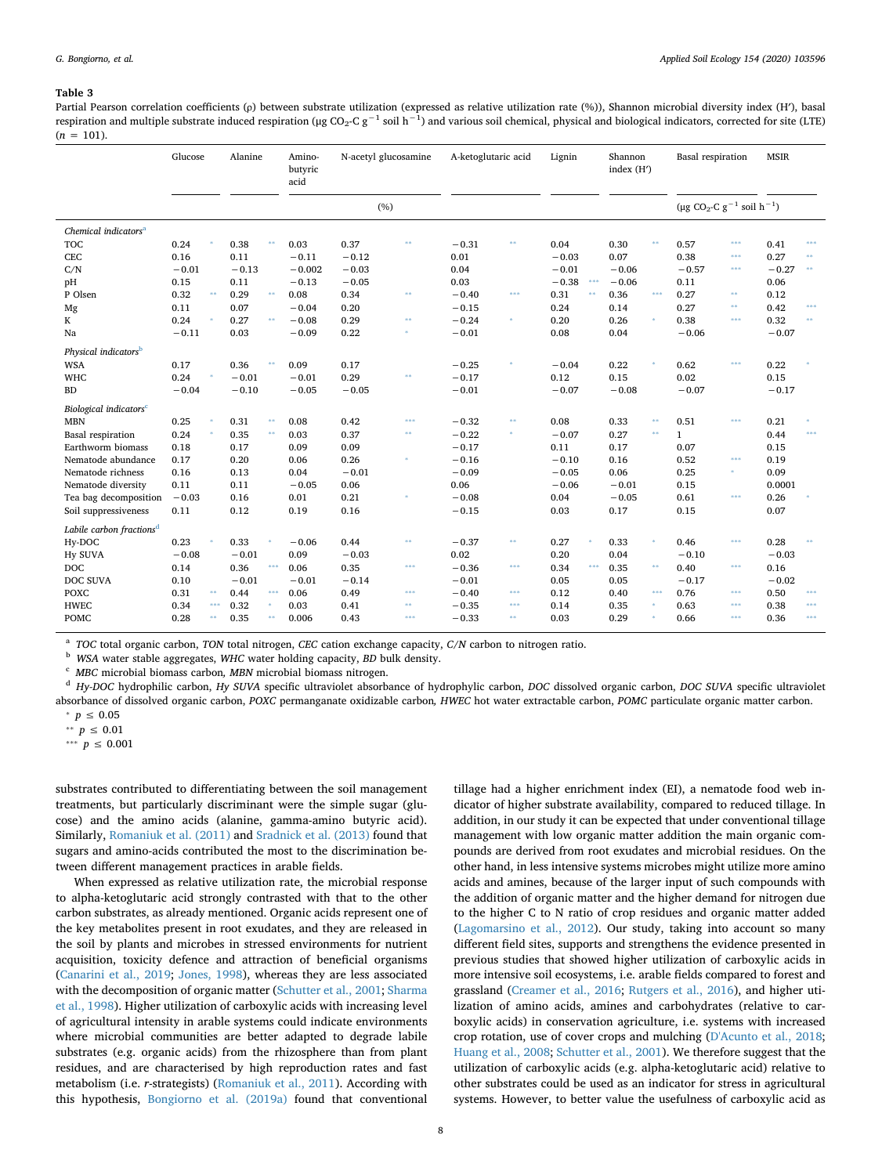<span id="page-7-0"></span>Partial Pearson correlation coefficients (ρ) between substrate utilization (expressed as relative utilization rate (%)), Shannon microbial diversity index (H′), basal respiration and multiple substrate induced respiration (μg CO<sub>2</sub>-C g<sup>-1</sup> soil h<sup>-1</sup>) and various soil chemical, physical and biological indicators, corrected for site (LTE)  $(n = 101)$ .

|                                      | Glucose |          | Alanine |          | Amino-<br>butyric<br>acid | N-acetyl glucosamine |            | A-ketoglutaric acid |       | Lignin  |         | Shannon<br>index $(H')$ |               | Basal respiration                            |         | <b>MSIR</b> |          |
|--------------------------------------|---------|----------|---------|----------|---------------------------|----------------------|------------|---------------------|-------|---------|---------|-------------------------|---------------|----------------------------------------------|---------|-------------|----------|
|                                      |         |          |         |          |                           | (%)                  |            |                     |       |         |         |                         |               | $(\mu g CO_2-C g^{-1} \text{ soil } h^{-1})$ |         |             |          |
| Chemical indicators <sup>a</sup>     |         |          |         |          |                           |                      |            |                     |       |         |         |                         |               |                                              |         |             |          |
| <b>TOC</b>                           | 0.24    |          | 0.38    | $\pm\pm$ | 0.03                      | 0.37                 | $\ast\ast$ | $-0.31$             | $8\%$ | 0.04    |         | 0.30                    | $^{**}$       | 0.57                                         | ***     | 0.41        | ***      |
| <b>CEC</b>                           | 0.16    |          | 0.11    |          | $-0.11$                   | $-0.12$              |            | 0.01                |       | $-0.03$ |         | 0.07                    |               | 0.38                                         | ***     | 0.27        | $\pm$    |
| C/N                                  | $-0.01$ |          | $-0.13$ |          | $-0.002$                  | $-0.03$              |            | 0.04                |       | $-0.01$ |         | $-0.06$                 |               | $-0.57$                                      | ***     | $-0.27$     | $\pm\pm$ |
| pH                                   | 0.15    |          | 0.11    |          | $-0.13$                   | $-0.05$              |            | 0.03                |       | $-0.38$ | ***     | $-0.06$                 |               | 0.11                                         |         | 0.06        |          |
| P Olsen                              | 0.32    | $\pm\pm$ | 0.29    | $\pm\pm$ | 0.08                      | 0.34                 | $**$       | $-0.40$             | ***   | 0.31    | $^{**}$ | 0.36                    | ***           | 0.27                                         | \$\$    | 0.12        |          |
| Mg                                   | 0.11    |          | 0.07    |          | $-0.04$                   | 0.20                 |            | $-0.15$             |       | 0.24    |         | 0.14                    |               | 0.27                                         | **      | 0.42        | 4888     |
| K                                    | 0.24    |          | 0.27    | $**$     | $-0.08$                   | 0.29                 | \$8        | $-0.24$             | ×     | 0.20    |         | 0.26                    | ×             | 0.38                                         | ***     | 0.32        | $\pm\pm$ |
| Na                                   | $-0.11$ |          | 0.03    |          | $-0.09$                   | 0.22                 |            | $-0.01$             |       | 0.08    |         | 0.04                    |               | $-0.06$                                      |         | $-0.07$     |          |
| Physical indicators <sup>b</sup>     |         |          |         |          |                           |                      |            |                     |       |         |         |                         |               |                                              |         |             |          |
| <b>WSA</b>                           | 0.17    |          | 0.36    | $\pm\pm$ | 0.09                      | 0.17                 |            | $-0.25$             |       | $-0.04$ |         | 0.22                    | ś             | 0.62                                         | \$\$\$. | 0.22        |          |
| <b>WHC</b>                           | 0.24    |          | $-0.01$ |          | $-0.01$                   | 0.29                 | $**$       | $-0.17$             |       | 0.12    |         | 0.15                    |               | 0.02                                         |         | 0.15        |          |
| <b>BD</b>                            | $-0.04$ |          | $-0.10$ |          | $-0.05$                   | $-0.05$              |            | $-0.01$             |       | $-0.07$ |         | $-0.08$                 |               | $-0.07$                                      |         | $-0.17$     |          |
| Biological indicators <sup>c</sup>   |         |          |         |          |                           |                      |            |                     |       |         |         |                         |               |                                              |         |             |          |
| <b>MBN</b>                           | 0.25    |          | 0.31    | $\pm\pm$ | 0.08                      | 0.42                 | ***        | $-0.32$             | $8.8$ | 0.08    |         | 0.33                    | $^{\ast\ast}$ | 0.51                                         | \$\$\$. | 0.21        |          |
| <b>Basal</b> respiration             | 0.24    |          | 0.35    | $\pm\pm$ | 0.03                      | 0.37                 | $**$       | $-0.22$             | $\pm$ | $-0.07$ |         | 0.27                    | $8.8$         | $\mathbf{1}$                                 |         | 0.44        | \$88.    |
| Earthworm biomass                    | 0.18    |          | 0.17    |          | 0.09                      | 0.09                 |            | $-0.17$             |       | 0.11    |         | 0.17                    |               | 0.07                                         |         | 0.15        |          |
| Nematode abundance                   | 0.17    |          | 0.20    |          | 0.06                      | 0.26                 |            | $-0.16$             |       | $-0.10$ |         | 0.16                    |               | 0.52                                         | ***     | 0.19        |          |
| Nematode richness                    | 0.16    |          | 0.13    |          | 0.04                      | $-0.01$              |            | $-0.09$             |       | $-0.05$ |         | 0.06                    |               | 0.25                                         | *       | 0.09        |          |
| Nematode diversity                   | 0.11    |          | 0.11    |          | $-0.05$                   | 0.06                 |            | 0.06                |       | $-0.06$ |         | $-0.01$                 |               | 0.15                                         |         | 0.0001      |          |
| Tea bag decomposition                | $-0.03$ |          | 0.16    |          | 0.01                      | 0.21                 |            | $-0.08$             |       | 0.04    |         | $-0.05$                 |               | 0.61                                         | \$\$\$. | 0.26        |          |
| Soil suppressiveness                 | 0.11    |          | 0.12    |          | 0.19                      | 0.16                 |            | $-0.15$             |       | 0.03    |         | 0.17                    |               | 0.15                                         |         | 0.07        |          |
| Labile carbon fractions <sup>d</sup> |         |          |         |          |                           |                      |            |                     |       |         |         |                         |               |                                              |         |             |          |
| Hy-DOC                               | 0.23    |          | 0.33    |          | $-0.06$                   | 0.44                 | \$8        | $-0.37$             | $8.8$ | 0.27    |         | 0.33                    | $\pm$         | 0.46                                         | \$\$\$. | 0.28        |          |
| <b>Hy SUVA</b>                       | $-0.08$ |          | $-0.01$ |          | 0.09                      | $-0.03$              |            | 0.02                |       | 0.20    |         | 0.04                    |               | $-0.10$                                      |         | $-0.03$     |          |
| <b>DOC</b>                           | 0.14    |          | 0.36    | ***      | 0.06                      | 0.35                 | $* * *$    | $-0.36$             | ***   | 0.34    | ***     | 0.35                    | **            | 0.40                                         | ***     | 0.16        |          |
| DOC SUVA                             | 0.10    |          | $-0.01$ |          | $-0.01$                   | $-0.14$              |            | $-0.01$             |       | 0.05    |         | 0.05                    |               | $-0.17$                                      |         | $-0.02$     |          |
| <b>POXC</b>                          | 0.31    | $\pm\pm$ | 0.44    | $* * *$  | 0.06                      | 0.49                 | ***        | $-0.40$             | ***   | 0.12    |         | 0.40                    | \$\$\$        | 0.76                                         | ***     | 0.50        | 4888     |
| <b>HWEC</b>                          | 0.34    | $***$    | 0.32    | $\pm$    | 0.03                      | 0.41                 | $\pm\pm$   | $-0.35$             | ***   | 0.14    |         | 0.35                    | $\ast$        | 0.63                                         | ***     | 0.38        | 4888     |
| <b>POMC</b>                          | 0.28    | ss.      | 0.35    | $\pm\pm$ | 0.006                     | 0.43                 | ***        | $-0.33$             | $8.8$ | 0.03    |         | 0.29                    | ś             | 0.66                                         | ***     | 0.36        | ***      |
|                                      |         |          |         |          |                           |                      |            |                     |       |         |         |                         |               |                                              |         |             |          |

<span id="page-7-1"></span><sup>a</sup> *TOC* total organic carbon, *TON* total nitrogen, *CEC* cation exchange capacity, *C/N* carbon to nitrogen ratio.

<span id="page-7-5"></span><sup>b</sup> *WSA* water stable aggregates, *WHC* water holding capacity, *BD* bulk density.

<span id="page-7-6"></span><sup>c</sup> *MBC* microbial biomass carbon*, MBN* microbial biomass nitrogen.

<span id="page-7-7"></span><sup>d</sup> *Hy-DOC* hydrophilic carbon, *Hy SUVA* specific ultraviolet absorbance of hydrophylic carbon, *DOC* dissolved organic carbon, *DOC SUVA* specific ultraviolet absorbance of dissolved organic carbon, *POXC* permanganate oxidizable carbon*, HWEC* hot water extractable carbon, *POMC* particulate organic matter carbon.

<span id="page-7-2"></span> $<sup>∗</sup> p ≤ 0.05$ </sup>

<span id="page-7-3"></span><sup>∗</sup>*∗ p* ≤ 0.01

<span id="page-7-4"></span><sup>\*\*\*</sup> *p* ≤ 0.001

substrates contributed to differentiating between the soil management treatments, but particularly discriminant were the simple sugar (glucose) and the amino acids (alanine, gamma-amino butyric acid). Similarly, [Romaniuk et al. \(2011\)](#page-12-24) and [Sradnick et al. \(2013\)](#page-12-23) found that sugars and amino-acids contributed the most to the discrimination between different management practices in arable fields.

When expressed as relative utilization rate, the microbial response to alpha-ketoglutaric acid strongly contrasted with that to the other carbon substrates, as already mentioned. Organic acids represent one of the key metabolites present in root exudates, and they are released in the soil by plants and microbes in stressed environments for nutrient acquisition, toxicity defence and attraction of beneficial organisms ([Canarini et al., 2019](#page-10-18); [Jones, 1998\)](#page-11-36), whereas they are less associated with the decomposition of organic matter [\(Schutter et al., 2001;](#page-12-25) [Sharma](#page-12-26) [et al., 1998](#page-12-26)). Higher utilization of carboxylic acids with increasing level of agricultural intensity in arable systems could indicate environments where microbial communities are better adapted to degrade labile substrates (e.g. organic acids) from the rhizosphere than from plant residues, and are characterised by high reproduction rates and fast metabolism (i.e. *r*-strategists) [\(Romaniuk et al., 2011](#page-12-24)). According with this hypothesis, [Bongiorno et al. \(2019a\)](#page-10-7) found that conventional

tillage had a higher enrichment index (EI), a nematode food web indicator of higher substrate availability, compared to reduced tillage. In addition, in our study it can be expected that under conventional tillage management with low organic matter addition the main organic compounds are derived from root exudates and microbial residues. On the other hand, in less intensive systems microbes might utilize more amino acids and amines, because of the larger input of such compounds with the addition of organic matter and the higher demand for nitrogen due to the higher C to N ratio of crop residues and organic matter added ([Lagomarsino et al., 2012](#page-11-22)). Our study, taking into account so many different field sites, supports and strengthens the evidence presented in previous studies that showed higher utilization of carboxylic acids in more intensive soil ecosystems, i.e. arable fields compared to forest and grassland ([Creamer et al., 2016;](#page-11-4) [Rutgers et al., 2016\)](#page-12-27), and higher utilization of amino acids, amines and carbohydrates (relative to carboxylic acids) in conservation agriculture, i.e. systems with increased crop rotation, use of cover crops and mulching ([D'Acunto et al., 2018](#page-11-37); [Huang et al., 2008;](#page-11-21) [Schutter et al., 2001](#page-12-25)). We therefore suggest that the utilization of carboxylic acids (e.g. alpha-ketoglutaric acid) relative to other substrates could be used as an indicator for stress in agricultural systems. However, to better value the usefulness of carboxylic acid as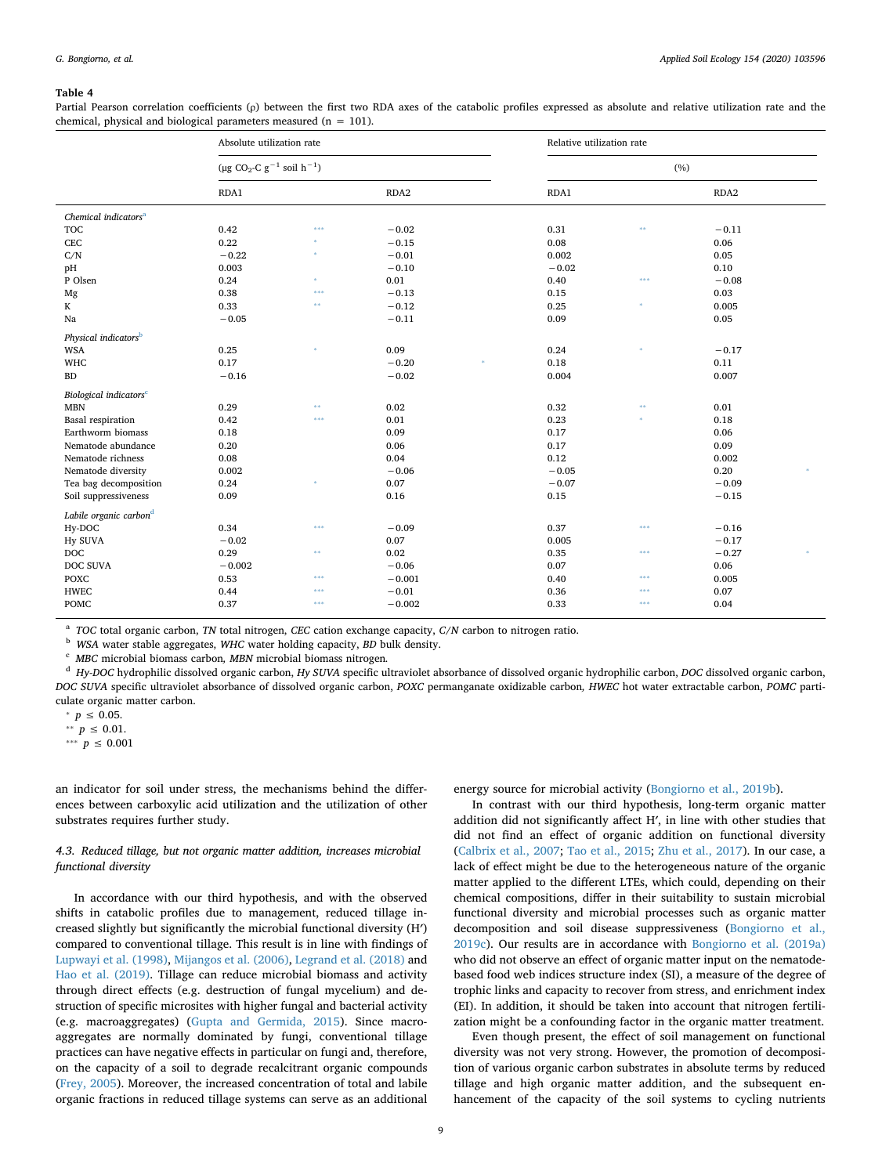<span id="page-8-0"></span>Partial Pearson correlation coefficients (p) between the first two RDA axes of the catabolic profiles expressed as absolute and relative utilization rate and the chemical, physical and biological parameters measured ( $n = 101$ ).

|                                    | Absolute utilization rate                               |          |          | Relative utilization rate |          |                  |  |  |  |  |
|------------------------------------|---------------------------------------------------------|----------|----------|---------------------------|----------|------------------|--|--|--|--|
|                                    | $(\mu g CO_2$ -C g <sup>-1</sup> soil h <sup>-1</sup> ) |          |          | (%)                       |          |                  |  |  |  |  |
|                                    | RDA1                                                    |          | RDA2     | RDA1                      |          | RDA <sub>2</sub> |  |  |  |  |
| Chemical indicators <sup>a</sup>   |                                                         |          |          |                           |          |                  |  |  |  |  |
| <b>TOC</b>                         | 0.42                                                    | ***      | $-0.02$  | 0.31                      | 88       | $-0.11$          |  |  |  |  |
| CEC                                | 0.22                                                    | ×        | $-0.15$  | 0.08                      |          | 0.06             |  |  |  |  |
| C/N                                | $-0.22$                                                 | ×        | $-0.01$  | 0.002                     |          | 0.05             |  |  |  |  |
| pH                                 | 0.003                                                   |          | $-0.10$  | $-0.02$                   |          | 0.10             |  |  |  |  |
| P Olsen                            | 0.24                                                    | ×        | 0.01     | 0.40                      | ***      | $-0.08$          |  |  |  |  |
| Mg                                 | 0.38                                                    | ***      | $-0.13$  | 0.15                      |          | 0.03             |  |  |  |  |
| K                                  | 0.33                                                    | **       | $-0.12$  | 0.25                      | ×        | 0.005            |  |  |  |  |
| Na                                 | $-0.05$                                                 |          | $-0.11$  | 0.09                      |          | 0.05             |  |  |  |  |
| Physical indicators <sup>b</sup>   |                                                         |          |          |                           |          |                  |  |  |  |  |
| <b>WSA</b>                         | 0.25                                                    |          | 0.09     | 0.24                      |          | $-0.17$          |  |  |  |  |
| WHC                                | 0.17                                                    |          | $-0.20$  | 0.18                      |          | 0.11             |  |  |  |  |
| <b>BD</b>                          | $-0.16$                                                 |          | $-0.02$  | 0.004                     |          | 0.007            |  |  |  |  |
| Biological indicators <sup>c</sup> |                                                         |          |          |                           |          |                  |  |  |  |  |
| <b>MBN</b>                         | 0.29                                                    | ss.      | 0.02     | 0.32                      | $\pm\pm$ | 0.01             |  |  |  |  |
| <b>Basal</b> respiration           | 0.42                                                    | ***      | 0.01     | 0.23                      |          | 0.18             |  |  |  |  |
| Earthworm biomass                  | 0.18                                                    |          | 0.09     | 0.17                      |          | 0.06             |  |  |  |  |
| Nematode abundance                 | 0.20                                                    |          | 0.06     | 0.17                      |          | 0.09             |  |  |  |  |
| Nematode richness                  | 0.08                                                    |          | 0.04     | 0.12                      |          | 0.002            |  |  |  |  |
| Nematode diversity                 | 0.002                                                   |          | $-0.06$  | $-0.05$                   |          | 0.20             |  |  |  |  |
| Tea bag decomposition              | 0.24                                                    | ×        | 0.07     | $-0.07$                   |          | $-0.09$          |  |  |  |  |
| Soil suppressiveness               | 0.09                                                    |          | 0.16     | 0.15                      |          | $-0.15$          |  |  |  |  |
| Labile organic carbon <sup>d</sup> |                                                         |          |          |                           |          |                  |  |  |  |  |
| Hy-DOC                             | 0.34                                                    | ***      | $-0.09$  | 0.37                      | ***      | $-0.16$          |  |  |  |  |
| Hy SUVA                            | $-0.02$                                                 |          | 0.07     | 0.005                     |          | $-0.17$          |  |  |  |  |
| <b>DOC</b>                         | 0.29                                                    | $\pm\pm$ | 0.02     | 0.35                      | ***      | $-0.27$          |  |  |  |  |
| DOC SUVA                           | $-0.002$                                                |          | $-0.06$  | 0.07                      |          | 0.06             |  |  |  |  |
| <b>POXC</b>                        | 0.53                                                    | ***      | $-0.001$ | 0.40                      | ***      | 0.005            |  |  |  |  |
| <b>HWEC</b>                        | 0.44                                                    | 光光光      | $-0.01$  | 0.36                      | ***      | 0.07             |  |  |  |  |
| <b>POMC</b>                        | 0.37                                                    | ***      | $-0.002$ | 0.33                      | \$88     | 0.04             |  |  |  |  |
|                                    |                                                         |          |          |                           |          |                  |  |  |  |  |

<span id="page-8-1"></span><sup>a</sup> *TOC* total organic carbon, *TN* total nitrogen, *CEC* cation exchange capacity, *C/N* carbon to nitrogen ratio.

<span id="page-8-5"></span><sup>b</sup> *WSA* water stable aggregates, *WHC* water holding capacity, *BD* bulk density.

<span id="page-8-6"></span><sup>c</sup> *MBC* microbial biomass carbon*, MBN* microbial biomass nitrogen*.*

<span id="page-8-7"></span><sup>d</sup> *Hy-DOC* hydrophilic dissolved organic carbon, *Hy SUVA* specific ultraviolet absorbance of dissolved organic hydrophilic carbon, *DOC* dissolved organic carbon, *DOC SUVA* specific ultraviolet absorbance of dissolved organic carbon, *POXC* permanganate oxidizable carbon*, HWEC* hot water extractable carbon, *POMC* particulate organic matter carbon.

<span id="page-8-4"></span>⁎ *p* ≤ 0.05.

<span id="page-8-3"></span><sup>∗</sup>*r*</sup> *p* ≤ 0.01.

<span id="page-8-2"></span><sup>∗</sup>*\*\**</sup> *p* ≤ 0.001

an indicator for soil under stress, the mechanisms behind the differences between carboxylic acid utilization and the utilization of other substrates requires further study.

## *4.3. Reduced tillage, but not organic matter addition, increases microbial functional diversity*

In accordance with our third hypothesis, and with the observed shifts in catabolic profiles due to management, reduced tillage increased slightly but significantly the microbial functional diversity (H′) compared to conventional tillage. This result is in line with findings of [Lupwayi et al. \(1998\)](#page-11-38), [Mijangos et al. \(2006\)](#page-11-39), [Legrand et al. \(2018\)](#page-11-40) and [Hao et al. \(2019\)](#page-11-16). Tillage can reduce microbial biomass and activity through direct effects (e.g. destruction of fungal mycelium) and destruction of specific microsites with higher fungal and bacterial activity (e.g. macroaggregates) [\(Gupta and Germida, 2015\)](#page-11-20). Since macroaggregates are normally dominated by fungi, conventional tillage practices can have negative effects in particular on fungi and, therefore, on the capacity of a soil to degrade recalcitrant organic compounds ([Frey, 2005\)](#page-11-41). Moreover, the increased concentration of total and labile organic fractions in reduced tillage systems can serve as an additional

energy source for microbial activity ([Bongiorno et al., 2019b](#page-10-8)).

In contrast with our third hypothesis, long-term organic matter addition did not significantly affect H′, in line with other studies that did not find an effect of organic addition on functional diversity ([Calbrix et al., 2007](#page-10-19); [Tao et al., 2015;](#page-12-28) [Zhu et al., 2017\)](#page-12-29). In our case, a lack of effect might be due to the heterogeneous nature of the organic matter applied to the different LTEs, which could, depending on their chemical compositions, differ in their suitability to sustain microbial functional diversity and microbial processes such as organic matter decomposition and soil disease suppressiveness [\(Bongiorno et al.,](#page-10-9) [2019c](#page-10-9)). Our results are in accordance with [Bongiorno et al. \(2019a\)](#page-10-7) who did not observe an effect of organic matter input on the nematodebased food web indices structure index (SI), a measure of the degree of trophic links and capacity to recover from stress, and enrichment index (EI). In addition, it should be taken into account that nitrogen fertilization might be a confounding factor in the organic matter treatment.

Even though present, the effect of soil management on functional diversity was not very strong. However, the promotion of decomposition of various organic carbon substrates in absolute terms by reduced tillage and high organic matter addition, and the subsequent enhancement of the capacity of the soil systems to cycling nutrients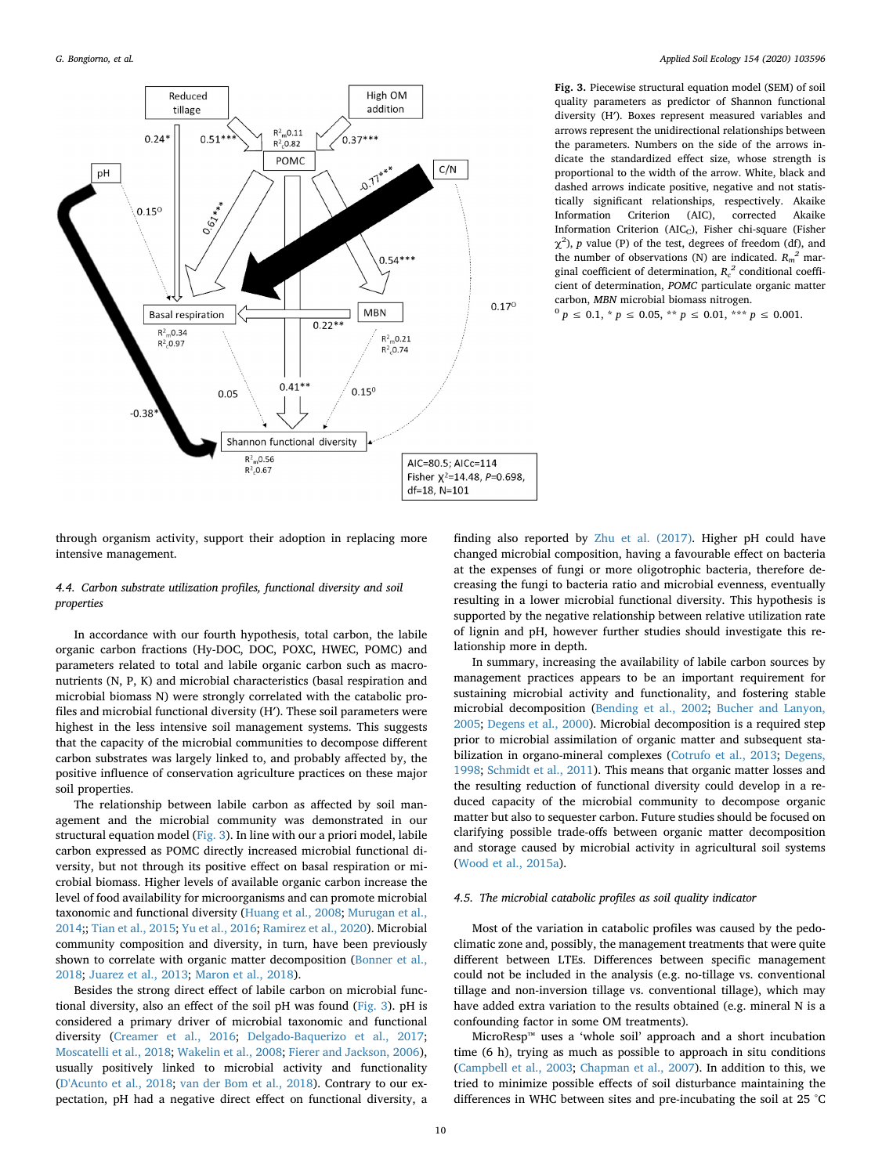<span id="page-9-0"></span>

**Fig. 3.** Piecewise structural equation model (SEM) of soil quality parameters as predictor of Shannon functional diversity (H′). Boxes represent measured variables and arrows represent the unidirectional relationships between the parameters. Numbers on the side of the arrows indicate the standardized effect size, whose strength is proportional to the width of the arrow. White, black and dashed arrows indicate positive, negative and not statistically significant relationships, respectively. Akaike Information Criterion (AIC), corrected Akaike Information Criterion (AIC<sub>C</sub>), Fisher chi-square (Fisher  $\chi^2$ ), *p* value (P) of the test, degrees of freedom (df), and the number of observations (N) are indicated.  $R_m^2$  marginal coefficient of determination,  $R_c^2$  conditional coefficient of determination, *POMC* particulate organic matter carbon, *MBN* microbial biomass nitrogen.

 $^{0} p \le 0.1, * p \le 0.05, ** p \le 0.01, ** p \le 0.001.$ 

through organism activity, support their adoption in replacing more intensive management.

# *4.4. Carbon substrate utilization profiles, functional diversity and soil properties*

In accordance with our fourth hypothesis, total carbon, the labile organic carbon fractions (Hy-DOC, DOC, POXC, HWEC, POMC) and parameters related to total and labile organic carbon such as macronutrients (N, P, K) and microbial characteristics (basal respiration and microbial biomass N) were strongly correlated with the catabolic profiles and microbial functional diversity (H′). These soil parameters were highest in the less intensive soil management systems. This suggests that the capacity of the microbial communities to decompose different carbon substrates was largely linked to, and probably affected by, the positive influence of conservation agriculture practices on these major soil properties.

The relationship between labile carbon as affected by soil management and the microbial community was demonstrated in our structural equation model ([Fig. 3\)](#page-9-0). In line with our a priori model, labile carbon expressed as POMC directly increased microbial functional diversity, but not through its positive effect on basal respiration or microbial biomass. Higher levels of available organic carbon increase the level of food availability for microorganisms and can promote microbial taxonomic and functional diversity ([Huang et al., 2008;](#page-11-21) [Murugan et al.,](#page-11-6) [2014;](#page-11-6); [Tian et al., 2015;](#page-12-9) [Yu et al., 2016](#page-12-17); [Ramirez et al., 2020\)](#page-11-42). Microbial community composition and diversity, in turn, have been previously shown to correlate with organic matter decomposition ([Bonner et al.,](#page-10-20) [2018;](#page-10-20) [Juarez et al., 2013](#page-11-43); [Maron et al., 2018](#page-11-44)).

Besides the strong direct effect of labile carbon on microbial functional diversity, also an effect of the soil pH was found [\(Fig. 3\)](#page-9-0). pH is considered a primary driver of microbial taxonomic and functional diversity ([Creamer et al., 2016](#page-11-4); [Delgado-Baquerizo et al., 2017](#page-11-45); [Moscatelli et al., 2018](#page-11-5); [Wakelin et al., 2008;](#page-12-30) [Fierer and Jackson, 2006](#page-11-46)), usually positively linked to microbial activity and functionality ([D'Acunto et al., 2018;](#page-11-37) [van der Bom et al., 2018\)](#page-12-4). Contrary to our expectation, pH had a negative direct effect on functional diversity, a

finding also reported by [Zhu et al. \(2017\)](#page-12-29). Higher pH could have changed microbial composition, having a favourable effect on bacteria at the expenses of fungi or more oligotrophic bacteria, therefore decreasing the fungi to bacteria ratio and microbial evenness, eventually resulting in a lower microbial functional diversity. This hypothesis is supported by the negative relationship between relative utilization rate of lignin and pH, however further studies should investigate this relationship more in depth.

In summary, increasing the availability of labile carbon sources by management practices appears to be an important requirement for sustaining microbial activity and functionality, and fostering stable microbial decomposition [\(Bending et al., 2002](#page-10-6); [Bucher and Lanyon,](#page-10-21) [2005;](#page-10-21) [Degens et al., 2000\)](#page-11-18). Microbial decomposition is a required step prior to microbial assimilation of organic matter and subsequent stabilization in organo-mineral complexes [\(Cotrufo et al., 2013;](#page-11-47) [Degens,](#page-11-48) [1998;](#page-11-48) [Schmidt et al., 2011\)](#page-12-31). This means that organic matter losses and the resulting reduction of functional diversity could develop in a reduced capacity of the microbial community to decompose organic matter but also to sequester carbon. Future studies should be focused on clarifying possible trade-offs between organic matter decomposition and storage caused by microbial activity in agricultural soil systems ([Wood et al., 2015a\)](#page-12-3).

# *4.5. The microbial catabolic profiles as soil quality indicator*

Most of the variation in catabolic profiles was caused by the pedoclimatic zone and, possibly, the management treatments that were quite different between LTEs. Differences between specific management could not be included in the analysis (e.g. no-tillage vs. conventional tillage and non-inversion tillage vs. conventional tillage), which may have added extra variation to the results obtained (e.g. mineral N is a confounding factor in some OM treatments).

MicroResp™ uses a 'whole soil' approach and a short incubation time (6 h), trying as much as possible to approach in situ conditions ([Campbell et al., 2003;](#page-10-4) [Chapman et al., 2007](#page-10-22)). In addition to this, we tried to minimize possible effects of soil disturbance maintaining the differences in WHC between sites and pre-incubating the soil at 25 °C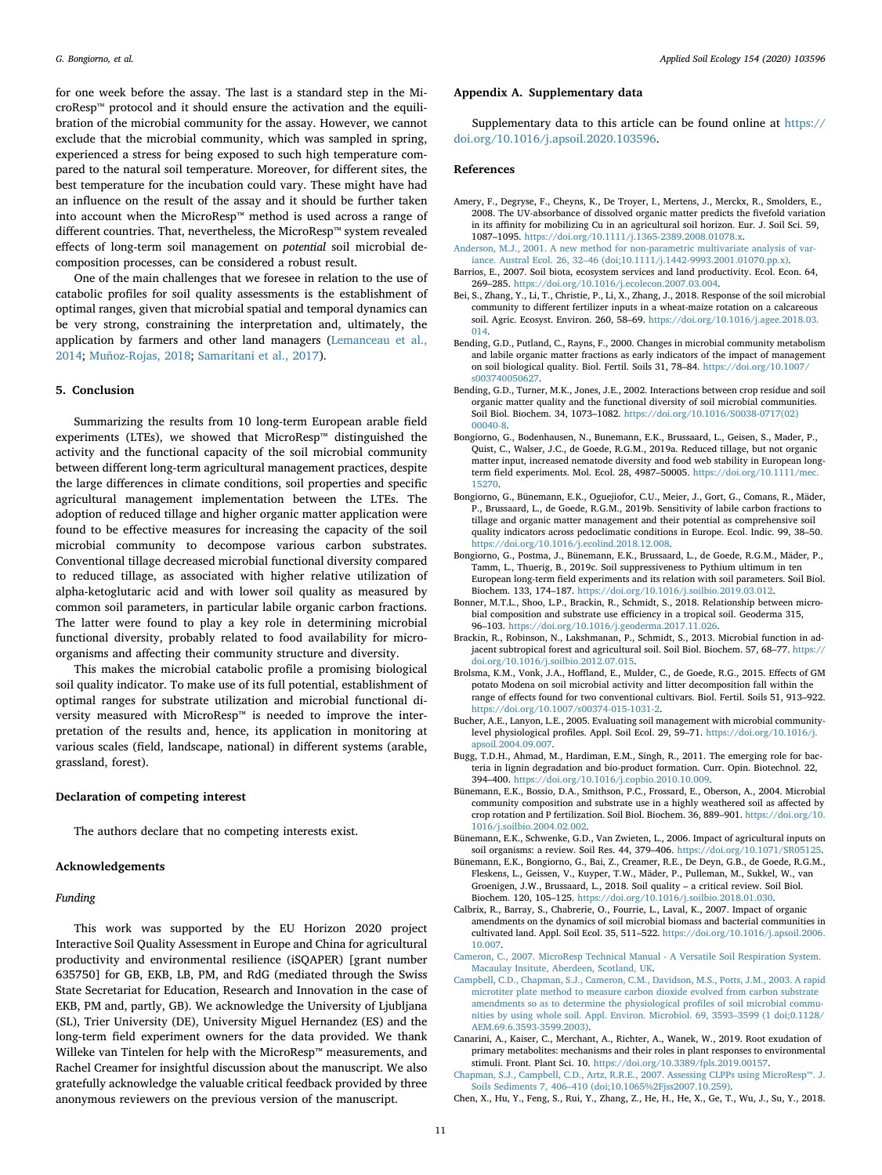for one week before the assay. The last is a standard step in the MicroResp™ protocol and it should ensure the activation and the equilibration of the microbial community for the assay. However, we cannot exclude that the microbial community, which was sampled in spring, experienced a stress for being exposed to such high temperature compared to the natural soil temperature. Moreover, for different sites, the best temperature for the incubation could vary. These might have had an influence on the result of the assay and it should be further taken into account when the MicroResp™ method is used across a range of different countries. That, nevertheless, the MicroResp™ system revealed effects of long-term soil management on *potential* soil microbial decomposition processes, can be considered a robust result.

One of the main challenges that we foresee in relation to the use of catabolic profiles for soil quality assessments is the establishment of optimal ranges, given that microbial spatial and temporal dynamics can be very strong, constraining the interpretation and, ultimately, the application by farmers and other land managers ([Lemanceau et al.,](#page-11-49) [2014;](#page-11-49) [Muñoz-Rojas, 2018;](#page-11-50) [Samaritani et al., 2017](#page-12-32)).

## **5. Conclusion**

Summarizing the results from 10 long-term European arable field experiments (LTEs), we showed that MicroResp™ distinguished the activity and the functional capacity of the soil microbial community between different long-term agricultural management practices, despite the large differences in climate conditions, soil properties and specific agricultural management implementation between the LTEs. The adoption of reduced tillage and higher organic matter application were found to be effective measures for increasing the capacity of the soil microbial community to decompose various carbon substrates. Conventional tillage decreased microbial functional diversity compared to reduced tillage, as associated with higher relative utilization of alpha-ketoglutaric acid and with lower soil quality as measured by common soil parameters, in particular labile organic carbon fractions. The latter were found to play a key role in determining microbial functional diversity, probably related to food availability for microorganisms and affecting their community structure and diversity.

This makes the microbial catabolic profile a promising biological soil quality indicator. To make use of its full potential, establishment of optimal ranges for substrate utilization and microbial functional diversity measured with MicroResp™ is needed to improve the interpretation of the results and, hence, its application in monitoring at various scales (field, landscape, national) in different systems (arable, grassland, forest).

## **Declaration of competing interest**

The authors declare that no competing interests exist.

#### **Acknowledgements**

# *Funding*

This work was supported by the EU Horizon 2020 project Interactive Soil Quality Assessment in Europe and China for agricultural productivity and environmental resilience (iSQAPER) [grant number 635750] for GB, EKB, LB, PM, and RdG (mediated through the Swiss State Secretariat for Education, Research and Innovation in the case of EKB, PM and, partly, GB). We acknowledge the University of Ljubljana (SL), Trier University (DE), University Miguel Hernandez (ES) and the long-term field experiment owners for the data provided. We thank Willeke van Tintelen for help with the MicroResp™ measurements, and Rachel Creamer for insightful discussion about the manuscript. We also gratefully acknowledge the valuable critical feedback provided by three anonymous reviewers on the previous version of the manuscript.

#### **Appendix A. Supplementary data**

Supplementary data to this article can be found online at [https://](https://doi.org/10.1016/j.apsoil.2020.103596) [doi.org/10.1016/j.apsoil.2020.103596](https://doi.org/10.1016/j.apsoil.2020.103596).

#### **References**

- <span id="page-10-10"></span>Amery, F., Degryse, F., Cheyns, K., De Troyer, I., Mertens, J., Merckx, R., Smolders, E., 2008. The UV-absorbance of dissolved organic matter predicts the fivefold variation in its affinity for mobilizing Cu in an agricultural soil horizon. Eur. J. Soil Sci. 59, 1087–1095. <https://doi.org/10.1111/j.1365-2389.2008.01078.x>.
- <span id="page-10-13"></span>[Anderson, M.J., 2001. A new method for non-parametric multivariate analysis of var](http://refhub.elsevier.com/S0929-1393(19)31425-8/rf0005)[iance. Austral Ecol. 26, 32–46 \(doi;10.1111/j.1442-9993.2001.01070.pp.x\).](http://refhub.elsevier.com/S0929-1393(19)31425-8/rf0005)
- <span id="page-10-0"></span>Barrios, E., 2007. Soil biota, ecosystem services and land productivity. Ecol. Econ. 64, 269–285. [https://doi.org/10.1016/j.ecolecon.2007.03.004.](https://doi.org/10.1016/j.ecolecon.2007.03.004)
- <span id="page-10-3"></span>Bei, S., Zhang, Y., Li, T., Christie, P., Li, X., Zhang, J., 2018. Response of the soil microbial community to different fertilizer inputs in a wheat-maize rotation on a calcareous soil. Agric. Ecosyst. Environ. 260, 58–69. [https://doi.org/10.1016/j.agee.2018.03.](https://doi.org/10.1016/j.agee.2018.03.014) [014](https://doi.org/10.1016/j.agee.2018.03.014).
- <span id="page-10-17"></span>Bending, G.D., Putland, C., Rayns, F., 2000. Changes in microbial community metabolism and labile organic matter fractions as early indicators of the impact of management on soil biological quality. Biol. Fertil. Soils 31, 78–84. [https://doi.org/10.1007/](https://doi.org/10.1007/s003740050627) [s003740050627](https://doi.org/10.1007/s003740050627).
- <span id="page-10-6"></span>Bending, G.D., Turner, M.K., Jones, J.E., 2002. Interactions between crop residue and soil organic matter quality and the functional diversity of soil microbial communities. Soil Biol. Biochem. 34, 1073–1082. [https://doi.org/10.1016/S0038-0717\(02\)](https://doi.org/10.1016/S0038-0717(02)00040-8) [00040-8](https://doi.org/10.1016/S0038-0717(02)00040-8).
- <span id="page-10-7"></span>Bongiorno, G., Bodenhausen, N., Bunemann, E.K., Brussaard, L., Geisen, S., Mader, P., Quist, C., Walser, J.C., de Goede, R.G.M., 2019a. Reduced tillage, but not organic matter input, increased nematode diversity and food web stability in European longterm field experiments. Mol. Ecol. 28, 4987–50005. [https://doi.org/10.1111/mec.](https://doi.org/10.1111/mec.15270) [15270.](https://doi.org/10.1111/mec.15270)
- <span id="page-10-8"></span>Bongiorno, G., Bünemann, E.K., Oguejiofor, C.U., Meier, J., Gort, G., Comans, R., Mäder, P., Brussaard, L., de Goede, R.G.M., 2019b. Sensitivity of labile carbon fractions to tillage and organic matter management and their potential as comprehensive soil quality indicators across pedoclimatic conditions in Europe. Ecol. Indic. 99, 38–50. <https://doi.org/10.1016/j.ecolind.2018.12.008>.
- <span id="page-10-9"></span>Bongiorno, G., Postma, J., Bünemann, E.K., Brussaard, L., de Goede, R.G.M., Mäder, P., Tamm, L., Thuerig, B., 2019c. Soil suppressiveness to Pythium ultimum in ten European long-term field experiments and its relation with soil parameters. Soil Biol. Biochem. 133, 174–187. <https://doi.org/10.1016/j.soilbio.2019.03.012>.
- <span id="page-10-20"></span>Bonner, M.T.L., Shoo, L.P., Brackin, R., Schmidt, S., 2018. Relationship between microbial composition and substrate use efficiency in a tropical soil. Geoderma 315, 96–103. <https://doi.org/10.1016/j.geoderma.2017.11.026>.
- <span id="page-10-5"></span>Brackin, R., Robinson, N., Lakshmanan, P., Schmidt, S., 2013. Microbial function in adjacent subtropical forest and agricultural soil. Soil Biol. Biochem. 57, 68–77. [https://](https://doi.org/10.1016/j.soilbio.2012.07.015) [doi.org/10.1016/j.soilbio.2012.07.015](https://doi.org/10.1016/j.soilbio.2012.07.015).
- <span id="page-10-12"></span>Brolsma, K.M., Vonk, J.A., Hoffland, E., Mulder, C., de Goede, R.G., 2015. Effects of GM potato Modena on soil microbial activity and litter decomposition fall within the range of effects found for two conventional cultivars. Biol. Fertil. Soils 51, 913–922. [https://doi.org/10.1007/s00374-015-1031-2.](https://doi.org/10.1007/s00374-015-1031-2)
- <span id="page-10-21"></span>Bucher, A.E., Lanyon, L.E., 2005. Evaluating soil management with microbial communitylevel physiological profiles. Appl. Soil Ecol. 29, 59–71. [https://doi.org/10.1016/j.](https://doi.org/10.1016/j.apsoil.2004.09.007) [apsoil.2004.09.007.](https://doi.org/10.1016/j.apsoil.2004.09.007)
- <span id="page-10-15"></span>Bugg, T.D.H., Ahmad, M., Hardiman, E.M., Singh, R., 2011. The emerging role for bacteria in lignin degradation and bio-product formation. Curr. Opin. Biotechnol. 22, 394–400. <https://doi.org/10.1016/j.copbio.2010.10.009>.
- <span id="page-10-16"></span>Bünemann, E.K., Bossio, D.A., Smithson, P.C., Frossard, E., Oberson, A., 2004. Microbial community composition and substrate use in a highly weathered soil as affected by crop rotation and P fertilization. Soil Biol. Biochem. 36, 889–901. [https://doi.org/10.](https://doi.org/10.1016/j.soilbio.2004.02.002) [1016/j.soilbio.2004.02.002](https://doi.org/10.1016/j.soilbio.2004.02.002).
- <span id="page-10-1"></span>Bünemann, E.K., Schwenke, G.D., Van Zwieten, L., 2006. Impact of agricultural inputs on soil organisms: a review. Soil Res. 44, 379–406. [https://doi.org/10.1071/SR05125.](https://doi.org/10.1071/SR05125)
- <span id="page-10-2"></span>Bünemann, E.K., Bongiorno, G., Bai, Z., Creamer, R.E., De Deyn, G.B., de Goede, R.G.M., Fleskens, L., Geissen, V., Kuyper, T.W., Mäder, P., Pulleman, M., Sukkel, W., van Groenigen, J.W., Brussaard, L., 2018. Soil quality – a critical review. Soil Biol. Biochem. 120, 105–125. <https://doi.org/10.1016/j.soilbio.2018.01.030>.
- <span id="page-10-19"></span>Calbrix, R., Barray, S., Chabrerie, O., Fourrie, L., Laval, K., 2007. Impact of organic amendments on the dynamics of soil microbial biomass and bacterial communities in cultivated land. Appl. Soil Ecol. 35, 511–522. [https://doi.org/10.1016/j.apsoil.2006.](https://doi.org/10.1016/j.apsoil.2006.10.007) [10.007](https://doi.org/10.1016/j.apsoil.2006.10.007).
- <span id="page-10-11"></span>[Cameron, C., 2007. MicroResp Technical Manual - A Versatile Soil Respiration System.](http://refhub.elsevier.com/S0929-1393(19)31425-8/rf0095) [Macaulay Insitute, Aberdeen, Scotland, UK.](http://refhub.elsevier.com/S0929-1393(19)31425-8/rf0095)
- <span id="page-10-4"></span>[Campbell, C.D., Chapman, S.J., Cameron, C.M., Davidson, M.S., Potts, J.M., 2003. A rapid](http://refhub.elsevier.com/S0929-1393(19)31425-8/rf0100) [microtiter plate method to measure carbon dioxide evolved from carbon substrate](http://refhub.elsevier.com/S0929-1393(19)31425-8/rf0100) [amendments so as to determine the physiological profiles of soil microbial commu](http://refhub.elsevier.com/S0929-1393(19)31425-8/rf0100)[nities by using whole soil. Appl. Environ. Microbiol. 69, 3593–3599 \(1 doi;0.1128/](http://refhub.elsevier.com/S0929-1393(19)31425-8/rf0100) [AEM.69.6.3593-3599.2003\).](http://refhub.elsevier.com/S0929-1393(19)31425-8/rf0100)
- <span id="page-10-18"></span>Canarini, A., Kaiser, C., Merchant, A., Richter, A., Wanek, W., 2019. Root exudation of primary metabolites: mechanisms and their roles in plant responses to environmental stimuli. Front. Plant Sci. 10. [https://doi.org/10.3389/fpls.2019.00157.](https://doi.org/10.3389/fpls.2019.00157)
- <span id="page-10-22"></span>[Chapman, S.J., Campbell, C.D., Artz, R.R.E., 2007. Assessing CLPPs using MicroResp™. J.](http://refhub.elsevier.com/S0929-1393(19)31425-8/rf0110) [Soils Sediments 7, 406–410 \(doi;10.1065%2Fjss2007.10.259\)](http://refhub.elsevier.com/S0929-1393(19)31425-8/rf0110).
- <span id="page-10-14"></span>Chen, X., Hu, Y., Feng, S., Rui, Y., Zhang, Z., He, H., He, X., Ge, T., Wu, J., Su, Y., 2018.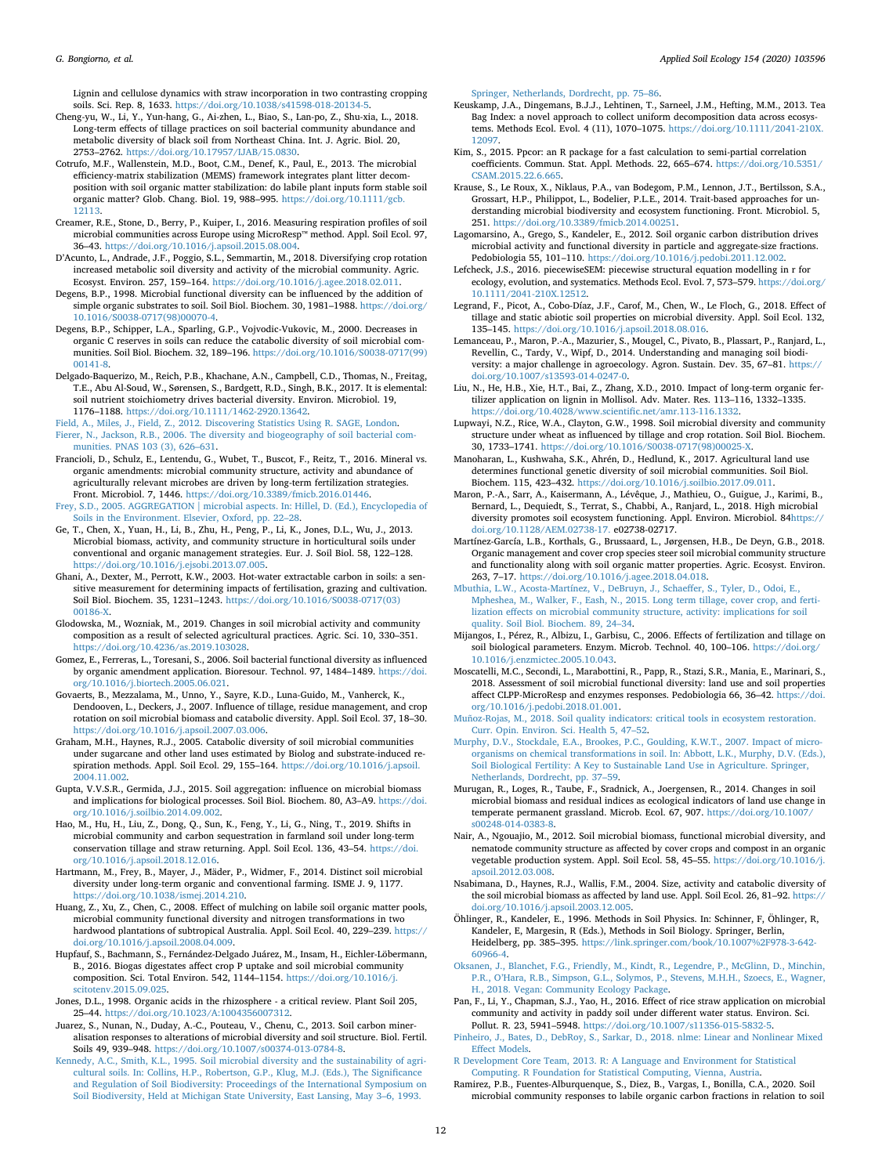Lignin and cellulose dynamics with straw incorporation in two contrasting cropping soils. Sci. Rep. 8, 1633. <https://doi.org/10.1038/s41598-018-20134-5>.

- <span id="page-11-2"></span>Cheng-yu, W., Li, Y., Yun-hang, G., Ai-zhen, L., Biao, S., Lan-po, Z., Shu-xia, L., 2018. Long-term effects of tillage practices on soil bacterial community abundance and metabolic diversity of black soil from Northeast China. Int. J. Agric. Biol. 20, 2753–2762. [https://doi.org/10.17957/IJAB/15.0830.](https://doi.org/10.17957/IJAB/15.0830)
- <span id="page-11-47"></span>Cotrufo, M.F., Wallenstein, M.D., Boot, C.M., Denef, K., Paul, E., 2013. The microbial efficiency-matrix stabilization (MEMS) framework integrates plant litter decomposition with soil organic matter stabilization: do labile plant inputs form stable soil organic matter? Glob. Chang. Biol. 19, 988–995. [https://doi.org/10.1111/gcb.](https://doi.org/10.1111/gcb.12113)
- <span id="page-11-4"></span>[12113.](https://doi.org/10.1111/gcb.12113) Creamer, R.E., Stone, D., Berry, P., Kuiper, I., 2016. Measuring respiration profiles of soil microbial communities across Europe using MicroResp™ method. Appl. Soil Ecol. 97, 36–43. [https://doi.org/10.1016/j.apsoil.2015.08.004.](https://doi.org/10.1016/j.apsoil.2015.08.004)
- <span id="page-11-37"></span>D'Acunto, L., Andrade, J.F., Poggio, S.L., Semmartin, M., 2018. Diversifying crop rotation increased metabolic soil diversity and activity of the microbial community. Agric. Ecosyst. Environ. 257, 159–164. [https://doi.org/10.1016/j.agee.2018.02.011.](https://doi.org/10.1016/j.agee.2018.02.011)
- <span id="page-11-48"></span>Degens, B.P., 1998. Microbial functional diversity can be influenced by the addition of simple organic substrates to soil. Soil Biol. Biochem. 30, 1981–1988. [https://doi.org/](https://doi.org/10.1016/S0038-0717(98)00070-4) [10.1016/S0038-0717\(98\)00070-4.](https://doi.org/10.1016/S0038-0717(98)00070-4)
- <span id="page-11-18"></span>Degens, B.P., Schipper, L.A., Sparling, G.P., Vojvodic-Vukovic, M., 2000. Decreases in organic C reserves in soils can reduce the catabolic diversity of soil microbial communities. Soil Biol. Biochem. 32, 189–196. [https://doi.org/10.1016/S0038-0717\(99\)](https://doi.org/10.1016/S0038-0717(99)00141-8) [00141-8](https://doi.org/10.1016/S0038-0717(99)00141-8).
- <span id="page-11-45"></span>Delgado-Baquerizo, M., Reich, P.B., Khachane, A.N., Campbell, C.D., Thomas, N., Freitag, T.E., Abu Al-Soud, W., Sørensen, S., Bardgett, R.D., Singh, B.K., 2017. It is elemental: soil nutrient stoichiometry drives bacterial diversity. Environ. Microbiol. 19, 1176–1188. [https://doi.org/10.1111/1462-2920.13642.](https://doi.org/10.1111/1462-2920.13642)

<span id="page-11-46"></span><span id="page-11-32"></span>[Field, A., Miles, J., Field, Z., 2012. Discovering Statistics Using R. SAGE, London](http://refhub.elsevier.com/S0929-1393(19)31425-8/rf0160). [Fierer, N., Jackson, R.B., 2006. The diversity and biogeography of soil bacterial com](http://refhub.elsevier.com/S0929-1393(19)31425-8/rf0165)[munities. PNAS 103 \(3\), 626–631.](http://refhub.elsevier.com/S0929-1393(19)31425-8/rf0165)

- <span id="page-11-11"></span>Francioli, D., Schulz, E., Lentendu, G., Wubet, T., Buscot, F., Reitz, T., 2016. Mineral vs. organic amendments: microbial community structure, activity and abundance of agriculturally relevant microbes are driven by long-term fertilization strategies. Front. Microbiol. 7, 1446. <https://doi.org/10.3389/fmicb.2016.01446>.
- <span id="page-11-41"></span>[Frey, S.D., 2005. AGGREGATION | microbial aspects. In: Hillel, D. \(Ed.\), Encyclopedia of](http://refhub.elsevier.com/S0929-1393(19)31425-8/rf0180) [Soils in the Environment. Elsevier, Oxford, pp. 22–28](http://refhub.elsevier.com/S0929-1393(19)31425-8/rf0180).
- <span id="page-11-7"></span>Ge, T., Chen, X., Yuan, H., Li, B., Zhu, H., Peng, P., Li, K., Jones, D.L., Wu, J., 2013. Microbial biomass, activity, and community structure in horticultural soils under conventional and organic management strategies. Eur. J. Soil Biol. 58, 122–128. <https://doi.org/10.1016/j.ejsobi.2013.07.005>.
- <span id="page-11-26"></span>Ghani, A., Dexter, M., Perrott, K.W., 2003. Hot-water extractable carbon in soils: a sensitive measurement for determining impacts of fertilisation, grazing and cultivation. Soil Biol. Biochem. 35, 1231–1243. [https://doi.org/10.1016/S0038-0717\(03\)](https://doi.org/10.1016/S0038-0717(03)00186-X) [00186-X.](https://doi.org/10.1016/S0038-0717(03)00186-X)
- <span id="page-11-34"></span>Glodowska, M., Wozniak, M., 2019. Changes in soil microbial activity and community composition as a result of selected agricultural practices. Agric. Sci. 10, 330–351. [https://doi.org/10.4236/as.2019.103028.](https://doi.org/10.4236/as.2019.103028)
- <span id="page-11-13"></span>Gomez, E., Ferreras, L., Toresani, S., 2006. Soil bacterial functional diversity as influenced by organic amendment application. Bioresour. Technol. 97, 1484–1489. [https://doi.](https://doi.org/10.1016/j.biortech.2005.06.021) [org/10.1016/j.biortech.2005.06.021](https://doi.org/10.1016/j.biortech.2005.06.021).
- <span id="page-11-14"></span>Govaerts, B., Mezzalama, M., Unno, Y., Sayre, K.D., Luna-Guido, M., Vanherck, K., Dendooven, L., Deckers, J., 2007. Influence of tillage, residue management, and crop rotation on soil microbial biomass and catabolic diversity. Appl. Soil Ecol. 37, 18–30. <https://doi.org/10.1016/j.apsoil.2007.03.006>.
- <span id="page-11-23"></span>Graham, M.H., Haynes, R.J., 2005. Catabolic diversity of soil microbial communities under sugarcane and other land uses estimated by Biolog and substrate-induced respiration methods. Appl. Soil Ecol. 29, 155–164. [https://doi.org/10.1016/j.apsoil.](https://doi.org/10.1016/j.apsoil.2004.11.002) [2004.11.002](https://doi.org/10.1016/j.apsoil.2004.11.002).
- <span id="page-11-20"></span>Gupta, V.V.S.R., Germida, J.J., 2015. Soil aggregation: influence on microbial biomass and implications for biological processes. Soil Biol. Biochem. 80, A3–A9. [https://doi.](https://doi.org/10.1016/j.soilbio.2014.09.002) [org/10.1016/j.soilbio.2014.09.002.](https://doi.org/10.1016/j.soilbio.2014.09.002)
- <span id="page-11-16"></span>Hao, M., Hu, H., Liu, Z., Dong, Q., Sun, K., Feng, Y., Li, G., Ning, T., 2019. Shifts in microbial community and carbon sequestration in farmland soil under long-term conservation tillage and straw returning. Appl. Soil Ecol. 136, 43–54. [https://doi.](https://doi.org/10.1016/j.apsoil.2018.12.016) [org/10.1016/j.apsoil.2018.12.016](https://doi.org/10.1016/j.apsoil.2018.12.016).
- <span id="page-11-12"></span>Hartmann, M., Frey, B., Mayer, J., Mäder, P., Widmer, F., 2014. Distinct soil microbial diversity under long-term organic and conventional farming. ISME J. 9, 1177. [https://doi.org/10.1038/ismej.2014.210.](https://doi.org/10.1038/ismej.2014.210)
- <span id="page-11-21"></span>Huang, Z., Xu, Z., Chen, C., 2008. Effect of mulching on labile soil organic matter pools, microbial community functional diversity and nitrogen transformations in two hardwood plantations of subtropical Australia. Appl. Soil Ecol. 40, 229–239. [https://](https://doi.org/10.1016/j.apsoil.2008.04.009) [doi.org/10.1016/j.apsoil.2008.04.009](https://doi.org/10.1016/j.apsoil.2008.04.009).
- <span id="page-11-8"></span>Hupfauf, S., Bachmann, S., Fernández-Delgado Juárez, M., Insam, H., Eichler-Löbermann, B., 2016. Biogas digestates affect crop P uptake and soil microbial community composition. Sci. Total Environ. 542, 1144–1154. [https://doi.org/10.1016/j.](https://doi.org/10.1016/j.scitotenv.2015.09.025) [scitotenv.2015.09.025.](https://doi.org/10.1016/j.scitotenv.2015.09.025)

<span id="page-11-36"></span>Jones, D.L., 1998. Organic acids in the rhizosphere - a critical review. Plant Soil 205, 25–44. [https://doi.org/10.1023/A:1004356007312.](https://doi.org/10.1023/A:1004356007312)

- <span id="page-11-43"></span>Juarez, S., Nunan, N., Duday, A.-C., Pouteau, V., Chenu, C., 2013. Soil carbon mineralisation responses to alterations of microbial diversity and soil structure. Biol. Fertil. Soils 49, 939–948. [https://doi.org/10.1007/s00374-013-0784-8.](https://doi.org/10.1007/s00374-013-0784-8)
- <span id="page-11-27"></span>[Kennedy, A.C., Smith, K.L., 1995. Soil microbial diversity and the sustainability of agri](http://refhub.elsevier.com/S0929-1393(19)31425-8/rf0255)[cultural soils. In: Collins, H.P., Robertson, G.P., Klug, M.J. \(Eds.\), The Significance](http://refhub.elsevier.com/S0929-1393(19)31425-8/rf0255) [and Regulation of Soil Biodiversity: Proceedings of the International Symposium on](http://refhub.elsevier.com/S0929-1393(19)31425-8/rf0255) [Soil Biodiversity, Held at Michigan State University, East Lansing, May 3–6, 1993.](http://refhub.elsevier.com/S0929-1393(19)31425-8/rf0255)

[Springer, Netherlands, Dordrecht, pp. 75–86](http://refhub.elsevier.com/S0929-1393(19)31425-8/rf0255).

- <span id="page-11-25"></span>Keuskamp, J.A., Dingemans, B.J.J., Lehtinen, T., Sarneel, J.M., Hefting, M.M., 2013. Tea Bag Index: a novel approach to collect uniform decomposition data across ecosystems. Methods Ecol. Evol. 4 (11), 1070–1075. [https://doi.org/10.1111/2041-210X.](https://doi.org/10.1111/2041-210X.12097) 12097
- <span id="page-11-31"></span>Kim, S., 2015. Ppcor: an R package for a fast calculation to semi-partial correlation coefficients. Commun. Stat. Appl. Methods. 22, 665–674. [https://doi.org/10.5351/](https://doi.org/10.5351/CSAM.2015.22.6.665) [CSAM.2015.22.6.665.](https://doi.org/10.5351/CSAM.2015.22.6.665)
- <span id="page-11-1"></span>Krause, S., Le Roux, X., Niklaus, P.A., van Bodegom, P.M., Lennon, J.T., Bertilsson, S.A., Grossart, H.P., Philippot, L., Bodelier, P.L.E., 2014. Trait-based approaches for understanding microbial biodiversity and ecosystem functioning. Front. Microbiol. 5, 251. [https://doi.org/10.3389/fmicb.2014.00251.](https://doi.org/10.3389/fmicb.2014.00251)
- <span id="page-11-22"></span>Lagomarsino, A., Grego, S., Kandeler, E., 2012. Soil organic carbon distribution drives microbial activity and functional diversity in particle and aggregate-size fractions. Pedobiologia 55, 101–110. <https://doi.org/10.1016/j.pedobi.2011.12.002>.
- <span id="page-11-33"></span>Lefcheck, J.S., 2016. piecewiseSEM: piecewise structural equation modelling in r for ecology, evolution, and systematics. Methods Ecol. Evol. 7, 573–579. [https://doi.org/](https://doi.org/10.1111/2041-210X.12512) [10.1111/2041-210X.12512.](https://doi.org/10.1111/2041-210X.12512)
- <span id="page-11-40"></span>Legrand, F., Picot, A., Cobo-Díaz, J.F., Carof, M., Chen, W., Le Floch, G., 2018. Effect of tillage and static abiotic soil properties on microbial diversity. Appl. Soil Ecol. 132, 135–145. [https://doi.org/10.1016/j.apsoil.2018.08.016.](https://doi.org/10.1016/j.apsoil.2018.08.016)
- <span id="page-11-49"></span>Lemanceau, P., Maron, P.-A., Mazurier, S., Mougel, C., Pivato, B., Plassart, P., Ranjard, L., Revellin, C., Tardy, V., Wipf, D., 2014. Understanding and managing soil biodiversity: a major challenge in agroecology. Agron. Sustain. Dev. 35, 67–81. [https://](https://doi.org/10.1007/s13593-014-0247-0) [doi.org/10.1007/s13593-014-0247-0.](https://doi.org/10.1007/s13593-014-0247-0)
- <span id="page-11-35"></span>Liu, N., He, H.B., Xie, H.T., Bai, Z., Zhang, X.D., 2010. Impact of long-term organic fertilizer application on lignin in Mollisol. Adv. Mater. Res. 113–116, 1332–1335. [https://doi.org/10.4028/www.scientific.net/amr.113-116.1332.](https://doi.org/10.4028/www.scientific.net/amr.113-116.1332)
- <span id="page-11-38"></span>Lupwayi, N.Z., Rice, W.A., Clayton, G.W., 1998. Soil microbial diversity and community structure under wheat as influenced by tillage and crop rotation. Soil Biol. Biochem. 30, 1733–1741. [https://doi.org/10.1016/S0038-0717\(98\)00025-X](https://doi.org/10.1016/S0038-0717(98)00025-X).
- <span id="page-11-3"></span>Manoharan, L., Kushwaha, S.K., Ahrén, D., Hedlund, K., 2017. Agricultural land use determines functional genetic diversity of soil microbial communities. Soil Biol. Biochem. 115, 423–432. <https://doi.org/10.1016/j.soilbio.2017.09.011>.
- <span id="page-11-44"></span>Maron, P.-A., Sarr, A., Kaisermann, A., Lévêque, J., Mathieu, O., Guigue, J., Karimi, B., Bernard, L., Dequiedt, S., Terrat, S., Chabbi, A., Ranjard, L., 2018. High microbial diversity promotes soil ecosystem functioning. Appl. Environ. Microbiol. 8[4https://](https://doi.org/10.1128/AEM.02738-17) [doi.org/10.1128/AEM.02738-17.](https://doi.org/10.1128/AEM.02738-17) e02738-02717.
- <span id="page-11-9"></span>Martínez-García, L.B., Korthals, G., Brussaard, L., Jørgensen, H.B., De Deyn, G.B., 2018. Organic management and cover crop species steer soil microbial community structure and functionality along with soil organic matter properties. Agric. Ecosyst. Environ. 263, 7–17. <https://doi.org/10.1016/j.agee.2018.04.018>.
- <span id="page-11-17"></span>[Mbuthia, L.W., Acosta-Martínez, V., DeBruyn, J., Schaeffer, S., Tyler, D., Odoi, E.,](http://refhub.elsevier.com/S0929-1393(19)31425-8/rf0320) [Mpheshea, M., Walker, F., Eash, N., 2015. Long term tillage, cover crop, and ferti](http://refhub.elsevier.com/S0929-1393(19)31425-8/rf0320)[lization effects on microbial community structure, activity: implications for soil](http://refhub.elsevier.com/S0929-1393(19)31425-8/rf0320) [quality. Soil Biol. Biochem. 89, 24–34.](http://refhub.elsevier.com/S0929-1393(19)31425-8/rf0320)
- <span id="page-11-39"></span>Mijangos, I., Pérez, R., Albizu, I., Garbisu, C., 2006. Effects of fertilization and tillage on soil biological parameters. Enzym. Microb. Technol. 40, 100–106. [https://doi.org/](https://doi.org/10.1016/j.enzmictec.2005.10.043) [10.1016/j.enzmictec.2005.10.043.](https://doi.org/10.1016/j.enzmictec.2005.10.043)
- <span id="page-11-5"></span>Moscatelli, M.C., Secondi, L., Marabottini, R., Papp, R., Stazi, S.R., Mania, E., Marinari, S., 2018. Assessment of soil microbial functional diversity: land use and soil properties affect CLPP-MicroResp and enzymes responses. Pedobiologia 66, 36–42. [https://doi.](https://doi.org/10.1016/j.pedobi.2018.01.001) [org/10.1016/j.pedobi.2018.01.001.](https://doi.org/10.1016/j.pedobi.2018.01.001)
- <span id="page-11-50"></span>[Muñoz-Rojas, M., 2018. Soil quality indicators: critical tools in ecosystem restoration.](http://refhub.elsevier.com/S0929-1393(19)31425-8/rf0335) [Curr. Opin. Environ. Sci. Health 5, 47–52](http://refhub.elsevier.com/S0929-1393(19)31425-8/rf0335).
- <span id="page-11-0"></span>[Murphy, D.V., Stockdale, E.A., Brookes, P.C., Goulding, K.W.T., 2007. Impact of micro](http://refhub.elsevier.com/S0929-1393(19)31425-8/rf0340)[organisms on chemical transformations in soil. In: Abbott, L.K., Murphy, D.V. \(Eds.\),](http://refhub.elsevier.com/S0929-1393(19)31425-8/rf0340) [Soil Biological Fertility: A Key to Sustainable Land Use in Agriculture. Springer,](http://refhub.elsevier.com/S0929-1393(19)31425-8/rf0340) [Netherlands, Dordrecht, pp. 37–59](http://refhub.elsevier.com/S0929-1393(19)31425-8/rf0340).
- <span id="page-11-6"></span>Murugan, R., Loges, R., Taube, F., Sradnick, A., Joergensen, R., 2014. Changes in soil microbial biomass and residual indices as ecological indicators of land use change in temperate permanent grassland. Microb. Ecol. 67, 907. [https://doi.org/10.1007/](https://doi.org/10.1007/s00248-014-0383-8) [s00248-014-0383-8.](https://doi.org/10.1007/s00248-014-0383-8)
- <span id="page-11-15"></span>Nair, A., Ngouajio, M., 2012. Soil microbial biomass, functional microbial diversity, and nematode community structure as affected by cover crops and compost in an organic vegetable production system. Appl. Soil Ecol. 58, 45–55. [https://doi.org/10.1016/j.](https://doi.org/10.1016/j.apsoil.2012.03.008) [apsoil.2012.03.008.](https://doi.org/10.1016/j.apsoil.2012.03.008)
- <span id="page-11-19"></span>Nsabimana, D., Haynes, R.J., Wallis, F.M., 2004. Size, activity and catabolic diversity of the soil microbial biomass as affected by land use. Appl. Soil Ecol. 26, 81–92. [https://](https://doi.org/10.1016/j.apsoil.2003.12.005) [doi.org/10.1016/j.apsoil.2003.12.005](https://doi.org/10.1016/j.apsoil.2003.12.005).
- <span id="page-11-24"></span>Öhlinger, R., Kandeler, E., 1996. Methods in Soil Physics. In: Schinner, F, Öhlinger, R, Kandeler, E, Margesin, R (Eds.), Methods in Soil Biology. Springer, Berlin, Heidelberg, pp. 385–395. [https://link.springer.com/book/10.1007%2F978-3-642-](https://link.springer.com/book/10.1007%2F978-3-642-60966-4) [60966-4](https://link.springer.com/book/10.1007%2F978-3-642-60966-4).
- <span id="page-11-30"></span>[Oksanen, J., Blanchet, F.G., Friendly, M., Kindt, R., Legendre, P., McGlinn, D., Minchin,](http://refhub.elsevier.com/S0929-1393(19)31425-8/rf0360) [P.R., O'Hara, R.B., Simpson, G.L., Solymos, P., Stevens, M.H.H., Szoecs, E., Wagner,](http://refhub.elsevier.com/S0929-1393(19)31425-8/rf0360) [H., 2018. Vegan: Community Ecology Package](http://refhub.elsevier.com/S0929-1393(19)31425-8/rf0360).
- <span id="page-11-10"></span>Pan, F., Li, Y., Chapman, S.J., Yao, H., 2016. Effect of rice straw application on microbial community and activity in paddy soil under different water status. Environ. Sci. Pollut. R. 23, 5941–5948. <https://doi.org/10.1007/s11356-015-5832-5>.
- <span id="page-11-29"></span>[Pinheiro, J., Bates, D., DebRoy, S., Sarkar, D., 2018. nlme: Linear and Nonlinear Mixed](http://refhub.elsevier.com/S0929-1393(19)31425-8/rf0370) [Effect Models](http://refhub.elsevier.com/S0929-1393(19)31425-8/rf0370).

<span id="page-11-28"></span>[R Development Core Team, 2013. R: A Language and Environment for Statistical](http://refhub.elsevier.com/S0929-1393(19)31425-8/rf0375) [Computing. R Foundation for Statistical Computing, Vienna, Austria](http://refhub.elsevier.com/S0929-1393(19)31425-8/rf0375).

<span id="page-11-42"></span>Ramirez, P.B., Fuentes-Alburquenque, S., Diez, B., Vargas, I., Bonilla, C.A., 2020. Soil microbial community responses to labile organic carbon fractions in relation to soil